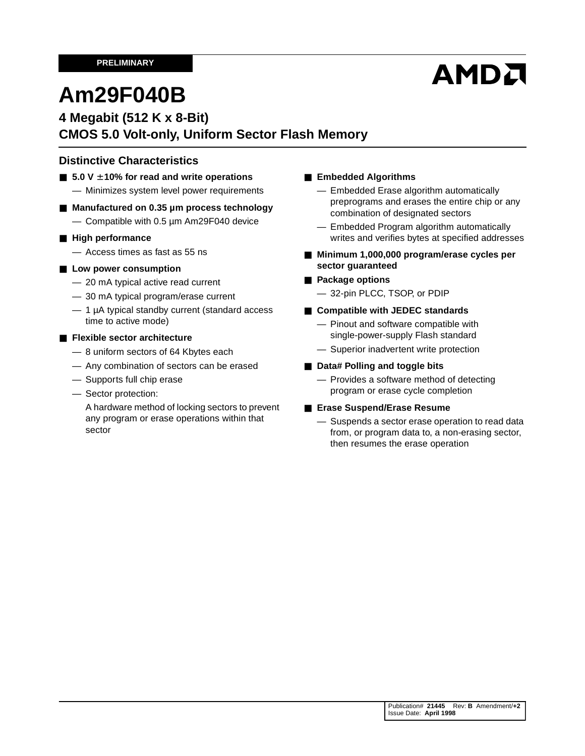# AMDA

# **Am29F040B**

### **4 Megabit (512 K x 8-Bit) CMOS 5.0 Volt-only, Uniform Sector Flash Memory**

### **Distinctive Characteristics**

- 5.0 V ± 10% for read and write operations — Minimizes system level power requirements
- Manufactured on 0.35 um process technology — Compatible with 0.5 µm Am29F040 device

#### ■ **High performance**

— Access times as fast as 55 ns

#### ■ Low power consumption

- 20 mA typical active read current
- 30 mA typical program/erase current
- 1 µA typical standby current (standard access time to active mode)

#### ■ **Flexible sector architecture**

- 8 uniform sectors of 64 Kbytes each
- Any combination of sectors can be erased
- Supports full chip erase
- Sector protection:

A hardware method of locking sectors to prevent any program or erase operations within that sector

#### ■ **Embedded Algorithms**

- Embedded Erase algorithm automatically preprograms and erases the entire chip or any combination of designated sectors
- Embedded Program algorithm automatically writes and verifies bytes at specified addresses
- Minimum 1,000,000 program/erase cycles per **sector guaranteed**
- **Package options** 
	- 32-pin PLCC, TSOP, or PDIP
- **Compatible with JEDEC standards** 
	- Pinout and software compatible with single-power-supply Flash standard
	- Superior inadvertent write protection

#### ■ **Data# Polling and toggle bits**

— Provides a software method of detecting program or erase cycle completion

#### ■ **Erase Suspend/Erase Resume**

— Suspends a sector erase operation to read data from, or program data to, a non-erasing sector, then resumes the erase operation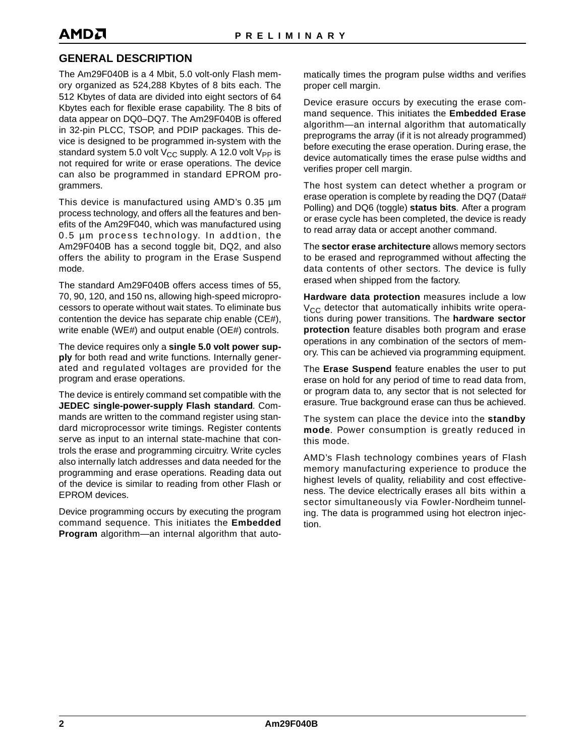### **GENERAL DESCRIPTION**

The Am29F040B is a 4 Mbit, 5.0 volt-only Flash memory organized as 524,288 Kbytes of 8 bits each. The 512 Kbytes of data are divided into eight sectors of 64 Kbytes each for flexible erase capability. The 8 bits of data appear on DQ0–DQ7. The Am29F040B is offered in 32-pin PLCC, TSOP, and PDIP packages. This device is designed to be programmed in-system with the standard system 5.0 volt  $V_{CC}$  supply. A 12.0 volt  $V_{PP}$  is not required for write or erase operations. The device can also be programmed in standard EPROM programmers.

This device is manufactured using AMD's 0.35 µm process technology, and offers all the features and benefits of the Am29F040, which was manufactured using 0.5 µm process technology. In addtion, the Am29F040B has a second toggle bit, DQ2, and also offers the ability to program in the Erase Suspend mode.

The standard Am29F040B offers access times of 55, 70, 90, 120, and 150 ns, allowing high-speed microprocessors to operate without wait states. To eliminate bus contention the device has separate chip enable (CE#), write enable (WE#) and output enable (OE#) controls.

The device requires only a **single 5.0 volt power supply** for both read and write functions. Internally generated and regulated voltages are provided for the program and erase operations.

The device is entirely command set compatible with the **JEDEC single-power-supply Flash standard**. Commands are written to the command register using standard microprocessor write timings. Register contents serve as input to an internal state-machine that controls the erase and programming circuitry. Write cycles also internally latch addresses and data needed for the programming and erase operations. Reading data out of the device is similar to reading from other Flash or EPROM devices.

Device programming occurs by executing the program command sequence. This initiates the **Embedded Program** algorithm—an internal algorithm that automatically times the program pulse widths and verifies proper cell margin.

Device erasure occurs by executing the erase command sequence. This initiates the **Embedded Erase** algorithm—an internal algorithm that automatically preprograms the array (if it is not already programmed) before executing the erase operation. During erase, the device automatically times the erase pulse widths and verifies proper cell margin.

The host system can detect whether a program or erase operation is complete by reading the DQ7 (Data# Polling) and DQ6 (toggle) **status bits**. After a program or erase cycle has been completed, the device is ready to read array data or accept another command.

The **sector erase architecture** allows memory sectors to be erased and reprogrammed without affecting the data contents of other sectors. The device is fully erased when shipped from the factory.

**Hardware data protection** measures include a low  $V_{CC}$  detector that automatically inhibits write operations during power transitions. The **hardware sector protection** feature disables both program and erase operations in any combination of the sectors of memory. This can be achieved via programming equipment.

The **Erase Suspend** feature enables the user to put erase on hold for any period of time to read data from, or program data to, any sector that is not selected for erasure. True background erase can thus be achieved.

The system can place the device into the **standby mode**. Power consumption is greatly reduced in this mode.

AMD's Flash technology combines years of Flash memory manufacturing experience to produce the highest levels of quality, reliability and cost effectiveness. The device electrically erases all bits within a sector simultaneously via Fowler-Nordheim tunneling. The data is programmed using hot electron injection.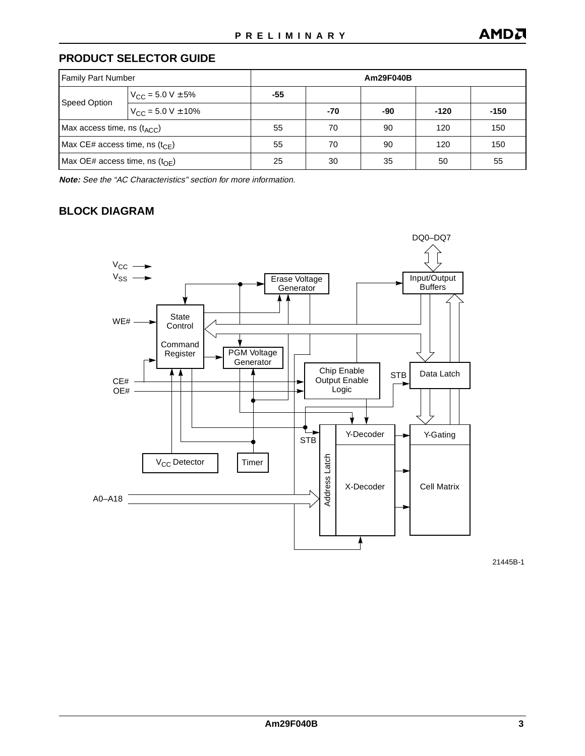### **PRODUCT SELECTOR GUIDE**

| <b>Family Part Number</b>                   |                                  | Am29F040B  |        |        |     |     |
|---------------------------------------------|----------------------------------|------------|--------|--------|-----|-----|
|                                             | $V_{\text{CC}}$ = 5.0 V $\pm$ 5% | -55        |        |        |     |     |
| Speed Option                                | $V_{CC}$ = 5.0 V $\pm$ 10%       | -90<br>-70 | $-120$ | $-150$ |     |     |
| Max access time, ns $(t_{\text{ACC}})$      |                                  | 55         | 70     | 90     | 120 | 150 |
| Max CE# access time, ns ( $t_{\text{CF}}$ ) |                                  | 55         | 70     | 90     | 120 | 150 |
| Max OE# access time, ns $(t_{\text{OF}})$   |                                  | 25         | 30     | 35     | 50  | 55  |

**Note:** See the "AC Characteristics" section for more information.

### **BLOCK DIAGRAM**



21445B-1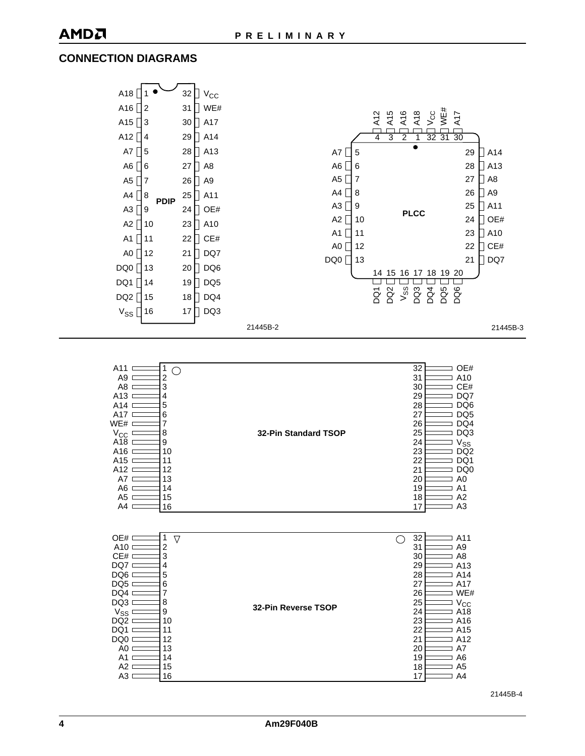### **CONNECTION DIAGRAMS**

| A18             |                  | 32 | $V_{\rm CC}$    |           |                                  |                                            |                      |
|-----------------|------------------|----|-----------------|-----------|----------------------------------|--------------------------------------------|----------------------|
| A16             | 12               | 31 | WE#             |           |                                  |                                            |                      |
| A15             | $\overline{3}$   | 30 | H<br>A17        |           | A12<br>A15                       | WE#<br>A16<br>A18<br>$V_{CC}$<br>A17       |                      |
| A12             | 4                | 29 | A <sub>14</sub> |           | $\overline{3}$<br>$\overline{4}$ | 32 31<br>$\overline{30}$<br>$\overline{2}$ |                      |
| A7              | 5                | 28 | A13             | A7<br>5   |                                  |                                            | 29<br>A14            |
| A6              | 6                | 27 | A8              | A6<br>6   |                                  |                                            | A13<br>28            |
| A <sub>5</sub>  | 7                | 26 | A9              | A5<br>7   |                                  |                                            | 27<br>A <sub>8</sub> |
| A4              | 8                | 25 | A11             | A4<br>8   |                                  |                                            | 26<br>A <sub>9</sub> |
| A <sub>3</sub>  | <b>PDIP</b><br>9 | 24 | OE#             | A3<br>9   |                                  | <b>PLCC</b>                                | 25<br>A11            |
| A2              | 10               | 23 | A10             | A2<br>10  |                                  |                                            | 24<br>OE#            |
| A1              | 11               | 22 | CE#             | A1<br>11  |                                  |                                            | 23<br>A10            |
| AO              | 12               | 21 | DQ7             | A0<br>12  |                                  |                                            | CE#<br>22            |
| DQ0             | 13               | 20 | DQ6             | DQ0<br>13 |                                  |                                            | 21<br>DQ7            |
| DQ1             | 14               | 19 | DQ5             |           | 15<br>14                         | 18 19 20<br>16<br>17                       |                      |
| DQ2 $\sqrt{15}$ |                  | 18 | DQ4             |           | DQ <sub>2</sub><br>ğ             | $V_{SS}$<br>DQ3<br>DQ4<br>DQ5<br>DQ6       |                      |
| $V_{SS}$ 16     |                  | 17 | DQ3             |           |                                  |                                            |                      |

21445B-2

21445B-3

| A11<br>1              |                      | 32<br>OE#             |
|-----------------------|----------------------|-----------------------|
| 2<br>A9               |                      | 31<br>A10             |
| A <sub>8</sub><br>3   |                      | CE#<br>30             |
| A <sub>13</sub><br>4  |                      | 29<br>DQ7             |
| 5<br>A14              |                      | 28<br>DQ <sub>6</sub> |
| 6<br>A17              |                      | DQ <sub>5</sub><br>27 |
| WE#<br>7              |                      | 26<br>DQ4             |
| $V_{CC}$<br>8         | 32-Pin Standard TSOP | 25<br>DQ3             |
| A18<br>9              |                      | $V_{SS}$<br>24        |
| A16<br>10             |                      | DQ <sub>2</sub><br>23 |
| A15<br>11             |                      | 22<br>DQ1             |
| A <sub>12</sub><br>12 |                      | 21<br>DQ <sub>0</sub> |
| A7<br>13              |                      | A <sub>0</sub><br>20  |
| A <sub>6</sub><br>14  |                      | 19<br>A <sub>1</sub>  |
| A <sub>5</sub><br>15  |                      | 18<br>A <sub>2</sub>  |
| 16<br>A4              |                      | 17<br>A3              |

| OE#<br>A10<br>CE#<br>DQ7<br>DQ <sub>6</sub><br>DQ <sub>5</sub><br>DQ4<br>DQ3<br>$V_{SS}$<br>DQ <sub>2</sub><br>DQ1<br>DQ0<br>A0<br>A1<br>A <sub>2</sub><br>A <sub>3</sub> | $\triangledown$<br>2<br>3<br>4<br>5<br>6<br>7<br>8<br>9<br>10<br>11<br>12<br>13<br>14<br>15<br>16 | 32-Pin Reverse TSOP |  | 32<br>A11<br>A <sub>9</sub><br>31<br>30<br>A8<br>29<br>A <sub>13</sub><br>28<br>A14<br>27<br>A17<br>WE#<br>26<br>25<br>$V_{CC}$<br>24<br>A18<br>23<br>A16<br>A <sub>15</sub><br>22<br>21<br>A12<br>20<br>A7<br>19<br>A <sub>6</sub><br>A <sub>5</sub><br>18<br>A <sub>4</sub><br>17 |
|---------------------------------------------------------------------------------------------------------------------------------------------------------------------------|---------------------------------------------------------------------------------------------------|---------------------|--|-------------------------------------------------------------------------------------------------------------------------------------------------------------------------------------------------------------------------------------------------------------------------------------|
|---------------------------------------------------------------------------------------------------------------------------------------------------------------------------|---------------------------------------------------------------------------------------------------|---------------------|--|-------------------------------------------------------------------------------------------------------------------------------------------------------------------------------------------------------------------------------------------------------------------------------------|

21445B-4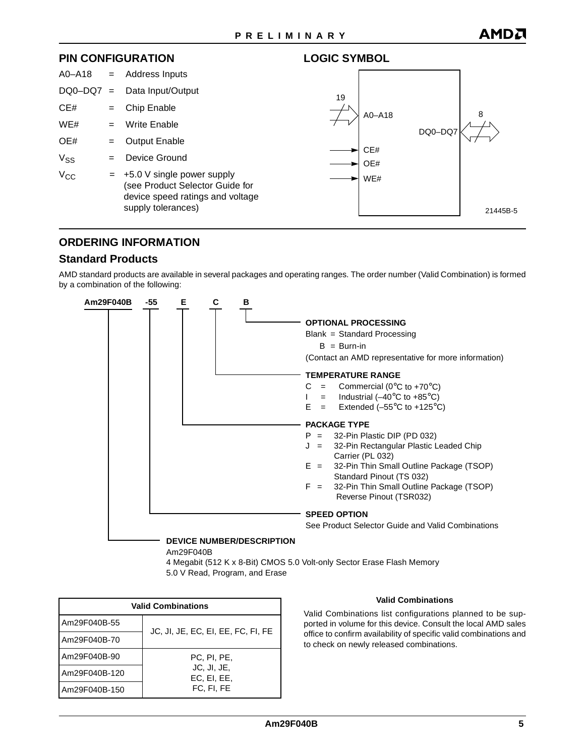**LOGIC SYMBOL**

#### **PIN CONFIGURATION**



### **ORDERING INFORMATION**

### **Standard Products**

AMD standard products are available in several packages and operating ranges. The order number (Valid Combination) is formed by a combination of the following:



Am29F040B

4 Megabit (512 K x 8-Bit) CMOS 5.0 Volt-only Sector Erase Flash Memory 5.0 V Read, Program, and Erase

| <b>Valid Combinations</b> |                                    |  |  |  |  |  |  |  |  |
|---------------------------|------------------------------------|--|--|--|--|--|--|--|--|
| Am29F040B-55              | JC, JI, JE, EC, EI, EE, FC, FI, FE |  |  |  |  |  |  |  |  |
| Am29F040B-70              |                                    |  |  |  |  |  |  |  |  |
| Am29F040B-90              | PC, PI, PE,                        |  |  |  |  |  |  |  |  |
| Am29F040B-120             | JC, JI, JE,<br>EC, EI, EE,         |  |  |  |  |  |  |  |  |
| Am29F040B-150             | FC. FI. FE                         |  |  |  |  |  |  |  |  |

#### **Valid Combinations**

Valid Combinations list configurations planned to be supported in volume for this device. Consult the local AMD sales office to confirm availability of specific valid combinations and to check on newly released combinations.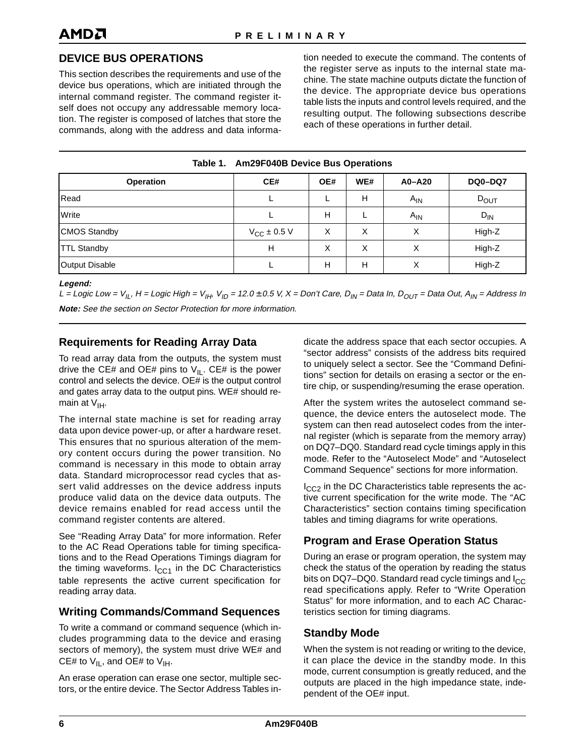### <span id="page-5-0"></span>**DEVICE BUS OPERATIONS**

This section describes the requirements and use of the device bus operations, which are initiated through the internal command register. The command register itself does not occupy any addressable memory location. The register is composed of latches that store the commands, along with the address and data information needed to execute the command. The contents of the register serve as inputs to the internal state machine. The state machine outputs dictate the function of the device. The appropriate device bus operations table lists the inputs and control levels required, and the resulting output. The following subsections describe each of these operations in further detail.

| Table 1. Am29F040B Device Bus Operations |  |  |  |  |
|------------------------------------------|--|--|--|--|
|------------------------------------------|--|--|--|--|

| <b>Operation</b>      | CE#                     | OE# | WE#    | $A0 - A20$ | <b>DQ0-DQ7</b> |
|-----------------------|-------------------------|-----|--------|------------|----------------|
| Read                  |                         |     | н      | $A_{IN}$   | $D_{OUT}$      |
| Write                 |                         | н   |        | $A_{IN}$   | $D_{IN}$       |
| <b>CMOS Standby</b>   | $V_{\text{CC}}$ ± 0.5 V | Χ   | v<br>⋏ | ⋏          | High-Z         |
| <b>TTL Standby</b>    | н                       | X   | v<br>⋏ | х          | High-Z         |
| <b>Output Disable</b> |                         | н   | н      | ⋏          | High-Z         |

**Legend:**

L = Logic Low =  $V_{IL}$ , H = Logic High =  $V_{IH}$ ,  $V_{ID}$  = 12.0 ± 0.5 V, X = Don't Care,  $D_{IN}$  = Data In,  $D_{OUT}$  = Data Out,  $A_{IN}$  = Address In **Note:** See the section on Sector Protection for more information.

### **Requirements for Reading Array Data**

To read array data from the outputs, the system must drive the CE# and OE# pins to  $V_{II}$ . CE# is the power control and selects the device. OE# is the output control and gates array data to the output pins. WE# should remain at  $V_{\text{IH}}$ .

The internal state machine is set for reading array data upon device power-up, or after a hardware reset. This ensures that no spurious alteration of the memory content occurs during the power transition. No command is necessary in this mode to obtain array data. Standard microprocessor read cycles that assert valid addresses on the device address inputs produce valid data on the device data outputs. The device remains enabled for read access until the command register contents are altered.

See ["Reading Array Data"](#page-7-0) for more information. Refer to the AC Read Operations table for timing specifications and to the Read Operations Timings diagram for the timing waveforms.  $I_{CC1}$  in the DC Characteristics table represents the active current specification for reading array data.

### **Writing Commands/Command Sequences**

To write a command or command sequence (which includes programming data to the device and erasing sectors of memory), the system must drive WE# and CE# to  $V_{II}$ , and OE# to  $V_{IH}$ .

An erase operation can erase one sector, multiple sectors, or the entire device. The Sector Address Tables indicate the address space that each sector occupies. A "sector address" consists of the address bits required to uniquely select a sector. See the ["Command Defini](#page-7-0)[tions"](#page-7-0) section for details on erasing a sector or the entire chip, or suspending/resuming the erase operation.

After the system writes the autoselect command sequence, the device enters the autoselect mode. The system can then read autoselect codes from the internal register (which is separate from the memory array) on DQ7–DQ0. Standard read cycle timings apply in this mode. Refer to the ["Autoselect Mode"](#page-6-0) and ["Autoselect](#page-8-0) [Command Sequence"](#page-8-0) sections for more information.

 $I_{CC2}$  in the DC Characteristics table represents the active current specification for the write mode. The "AC Characteristics" section contains timing specification tables and timing diagrams for write operations.

### **Program and Erase Operation Status**

During an erase or program operation, the system may check the status of the operation by reading the status bits on DQ7–DQ0. Standard read cycle timings and  $I_{CC}$ read specifications apply. Refer to ["Write Operation](#page-12-0) [Status"](#page-12-0) for more information, and to each AC Characteristics section for timing diagrams.

### **Standby Mode**

When the system is not reading or writing to the device, it can place the device in the standby mode. In this mode, current consumption is greatly reduced, and the outputs are placed in the high impedance state, independent of the OE# input.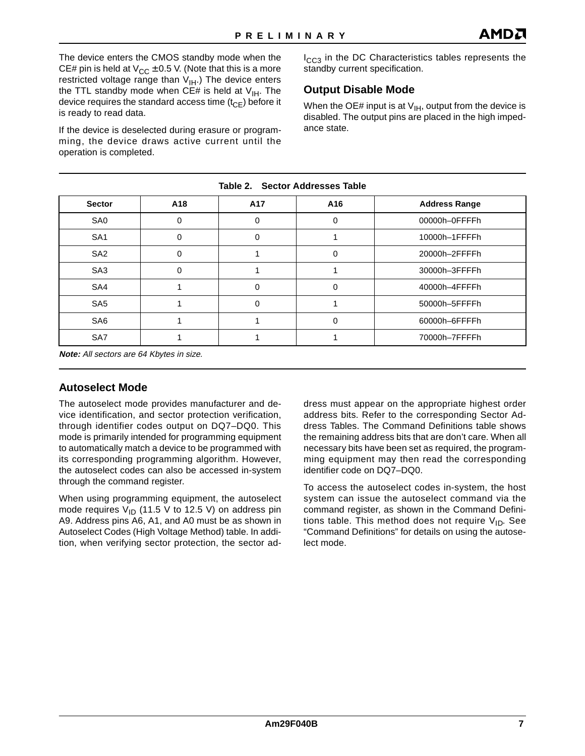<span id="page-6-0"></span>The device enters the CMOS standby mode when the CE# pin is held at  $V_{CC} \pm 0.5$  V. (Note that this is a more restricted voltage range than  $V_{\text{IH}}$ .) The device enters the TTL standby mode when CE# is held at  $V_{\text{IH}}$ . The device requires the standard access time  $(t_{CF})$  before it is ready to read data.

If the device is deselected during erasure or programming, the device draws active current until the operation is completed.

I<sub>CC3</sub> in the DC Characteristics tables represents the standby current specification.

### **Output Disable Mode**

When the OE# input is at  $V_{IH}$ , output from the device is disabled. The output pins are placed in the high impedance state.

| <b>Sector</b>   | A18 | A17 | A16      | <b>Address Range</b> |
|-----------------|-----|-----|----------|----------------------|
| SA0             | 0   | 0   | 0        | 00000h-OFFFFh        |
| SA <sub>1</sub> | 0   |     |          | 10000h-1FFFFh        |
| SA <sub>2</sub> | 0   |     | 0        | 20000h-2FFFFh        |
| SA <sub>3</sub> |     |     |          | 30000h-3FFFFh        |
| SA4             |     |     | 0        | 40000h-4FFFFh        |
| SA <sub>5</sub> |     |     |          | 50000h-5FFFFh        |
| SA <sub>6</sub> |     |     | $\Omega$ | 60000h-6FFFFh        |
| SA7             |     |     |          | 70000h-7FFFFh        |

**Table 2. Sector Addresses Table** 

**Note:** All sectors are 64 Kbytes in size.

### **Autoselect Mode**

The autoselect mode provides manufacturer and device identification, and sector protection verification, through identifier codes output on DQ7–DQ0. This mode is primarily intended for programming equipment to automatically match a device to be programmed with its corresponding programming algorithm. However, the autoselect codes can also be accessed in-system through the command register.

When using programming equipment, the autoselect mode requires  $V_{\text{ID}}$  (11.5 V to 12.5 V) on address pin A9. Address pins A6, A1, and A0 must be as shown in Autoselect Codes (High Voltage Method) table. In addition, when verifying sector protection, the sector address must appear on the appropriate highest order address bits. Refer to the corresponding Sector Address Tables. The Command Definitions table shows the remaining address bits that are don't care. When all necessary bits have been set as required, the programming equipment may then read the corresponding identifier code on DQ7–DQ0.

To access the autoselect codes in-system, the host system can issue the autoselect command via the command register, as shown in the Command Definitions table. This method does not require  $V_{ID}$ . See ["Command Definitions"](#page-7-0) for details on using the autoselect mode.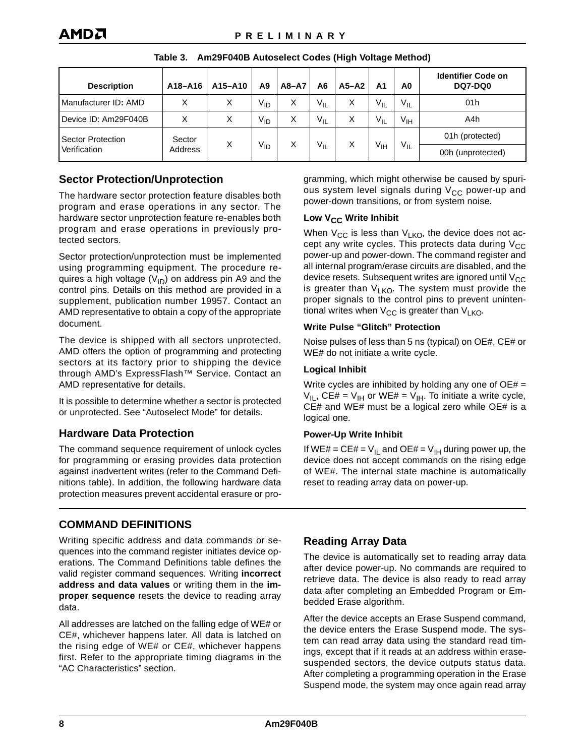<span id="page-7-0"></span>

| <b>Description</b>       | A18-A16 | A15-A10 | A <sub>9</sub>  | $A8 - A7$ | A6       | $A5 - A2$       | Α1       | A0                | <b>Identifier Code on</b><br><b>DQ7-DQ0</b> |
|--------------------------|---------|---------|-----------------|-----------|----------|-----------------|----------|-------------------|---------------------------------------------|
| Manufacturer ID: AMD     | X       | X       | $V_{ID}$        | Χ         | $V_{IL}$ | Χ               | $V_{IL}$ | $V_{IL}$          | 01h                                         |
| Device ID: Am29F040B     | х       | X       | V <sub>ID</sub> | Χ         | $V_{IL}$ | Χ               | $V_{IL}$ | $V_{\text{IH}}$   | A4h                                         |
| <b>Sector Protection</b> | Sector  | X       |                 |           |          |                 |          |                   | 01h (protected)                             |
| Verification             | Address |         | V <sub>ID</sub> | X         | $V_{IL}$ | V <sub>IH</sub> | $V_{IL}$ | 00h (unprotected) |                                             |

#### **Table 3. Am29F040B Autoselect Codes (High Voltage Method)**

### **Sector Protection/Unprotection**

The hardware sector protection feature disables both program and erase operations in any sector. The hardware sector unprotection feature re-enables both program and erase operations in previously protected sectors.

Sector protection/unprotection must be implemented using programming equipment. The procedure requires a high voltage  $(V_{1D})$  on address pin A9 and the control pins. Details on this method are provided in a supplement, publication number 19957. Contact an AMD representative to obtain a copy of the appropriate document.

The device is shipped with all sectors unprotected. AMD offers the option of programming and protecting sectors at its factory prior to shipping the device through AMD's ExpressFlash™ Service. Contact an AMD representative for details.

It is possible to determine whether a sector is protected or unprotected. See ["Autoselect Mode"](#page-6-0) for details.

### **Hardware Data Protection**

The command sequence requirement of unlock cycles for programming or erasing provides data protection against inadvertent writes (refer to the Command Definitions table). In addition, the following hardware data protection measures prevent accidental erasure or programming, which might otherwise be caused by spurious system level signals during  $V_{CC}$  power-up and power-down transitions, or from system noise.

#### Low V<sub>CC</sub> Write Inhibit

When  $V_{CC}$  is less than  $V_{LKO}$ , the device does not accept any write cycles. This protects data during  $V_{CC}$ power-up and power-down. The command register and all internal program/erase circuits are disabled, and the device resets. Subsequent writes are ignored until  $V_{CC}$ is greater than  $V_{LKO}$ . The system must provide the proper signals to the control pins to prevent unintentional writes when  $V_{CC}$  is greater than  $V_{LKO}$ .

#### **Write Pulse "Glitch" Protection**

Noise pulses of less than 5 ns (typical) on OE#, CE# or WE# do not initiate a write cycle.

#### **Logical Inhibit**

Write cycles are inhibited by holding any one of  $OE# =$  $V_{IL}$ , CE# =  $V_{IH}$  or WE# =  $V_{IH}$ . To initiate a write cycle, CE# and WE# must be a logical zero while OE# is a logical one.

#### **Power-Up Write Inhibit**

If WE# = CE# =  $V_{II}$  and OE# =  $V_{IH}$  during power up, the device does not accept commands on the rising edge of WE#. The internal state machine is automatically reset to reading array data on power-up.

### **COMMAND DEFINITIONS**

Writing specific address and data commands or sequences into the command register initiates device operations. The Command Definitions table defines the valid register command sequences. Writing **incorrect address and data values** or writing them in the **improper sequence** resets the device to reading array data.

All addresses are latched on the falling edge of WE# or CE#, whichever happens later. All data is latched on the rising edge of WE# or CE#, whichever happens first. Refer to the appropriate timing diagrams in the "AC Characteristics" section.

### **Reading Array Data**

The device is automatically set to reading array data after device power-up. No commands are required to retrieve data. The device is also ready to read array data after completing an Embedded Program or Embedded Erase algorithm.

After the device accepts an Erase Suspend command, the device enters the Erase Suspend mode. The system can read array data using the standard read timings, except that if it reads at an address within erasesuspended sectors, the device outputs status data. After completing a programming operation in the Erase Suspend mode, the system may once again read array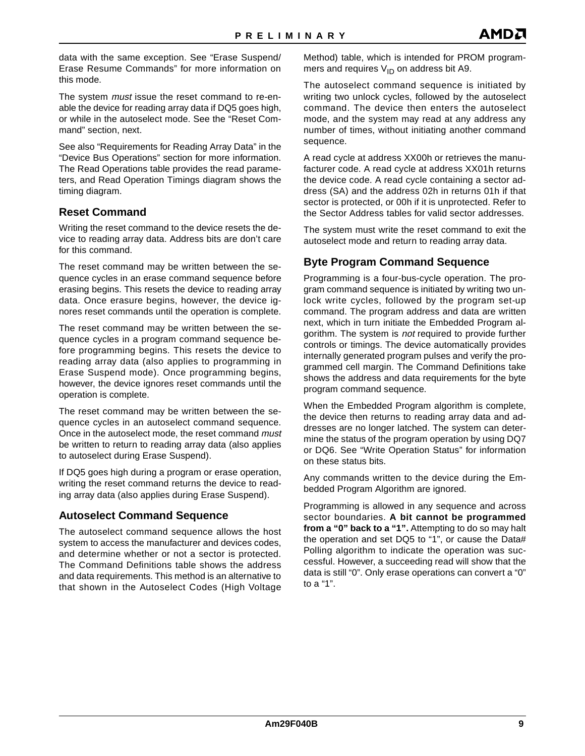<span id="page-8-0"></span>data with the same exception. See ["Erase Suspend/](#page-10-0) [Erase Resume Commands"](#page-10-0) for more information on this mode.

The system *must* issue the reset command to re-enable the device for reading array data if DQ5 goes high, or while in the autoselect mode. See the "Reset Command" section, next.

See also ["Requirements for Reading Array Data"](#page-5-0) in the ["Device Bus Operations"](#page-5-0) section for more information. The Read Operations table provides the read parameters, and Read Operation Timings diagram shows the timing diagram.

#### **Reset Command**

Writing the reset command to the device resets the device to reading array data. Address bits are don't care for this command.

The reset command may be written between the sequence cycles in an erase command sequence before erasing begins. This resets the device to reading array data. Once erasure begins, however, the device ignores reset commands until the operation is complete.

The reset command may be written between the sequence cycles in a program command sequence before programming begins. This resets the device to reading array data (also applies to programming in Erase Suspend mode). Once programming begins, however, the device ignores reset commands until the operation is complete.

The reset command may be written between the sequence cycles in an autoselect command sequence. Once in the autoselect mode, the reset command must be written to return to reading array data (also applies to autoselect during Erase Suspend).

If DQ5 goes high during a program or erase operation, writing the reset command returns the device to reading array data (also applies during Erase Suspend).

### **Autoselect Command Sequence**

The autoselect command sequence allows the host system to access the manufacturer and devices codes, and determine whether or not a sector is protected. The Command Definitions table shows the address and data requirements. This method is an alternative to that shown in the Autoselect Codes (High Voltage Method) table, which is intended for PROM programmers and requires  $V_{ID}$  on address bit A9.

The autoselect command sequence is initiated by writing two unlock cycles, followed by the autoselect command. The device then enters the autoselect mode, and the system may read at any address any number of times, without initiating another command sequence.

A read cycle at address XX00h or retrieves the manufacturer code. A read cycle at address XX01h returns the device code. A read cycle containing a sector address (SA) and the address 02h in returns 01h if that sector is protected, or 00h if it is unprotected. Refer to the Sector Address tables for valid sector addresses.

The system must write the reset command to exit the autoselect mode and return to reading array data.

### **Byte Program Command Sequence**

Programming is a four-bus-cycle operation. The program command sequence is initiated by writing two unlock write cycles, followed by the program set-up command. The program address and data are written next, which in turn initiate the Embedded Program algorithm. The system is not required to provide further controls or timings. The device automatically provides internally generated program pulses and verify the programmed cell margin. The Command Definitions take shows the address and data requirements for the byte program command sequence.

When the Embedded Program algorithm is complete, the device then returns to reading array data and addresses are no longer latched. The system can determine the status of the program operation by using DQ7 or DQ6. See "Write Operation Status" for information on these status bits.

Any commands written to the device during the Embedded Program Algorithm are ignored.

Programming is allowed in any sequence and across sector boundaries. **A bit cannot be programmed from a "0" back to a "1".** Attempting to do so may halt the operation and set DQ5 to "1", or cause the Data# Polling algorithm to indicate the operation was successful. However, a succeeding read will show that the data is still "0". Only erase operations can convert a "0" to a "1".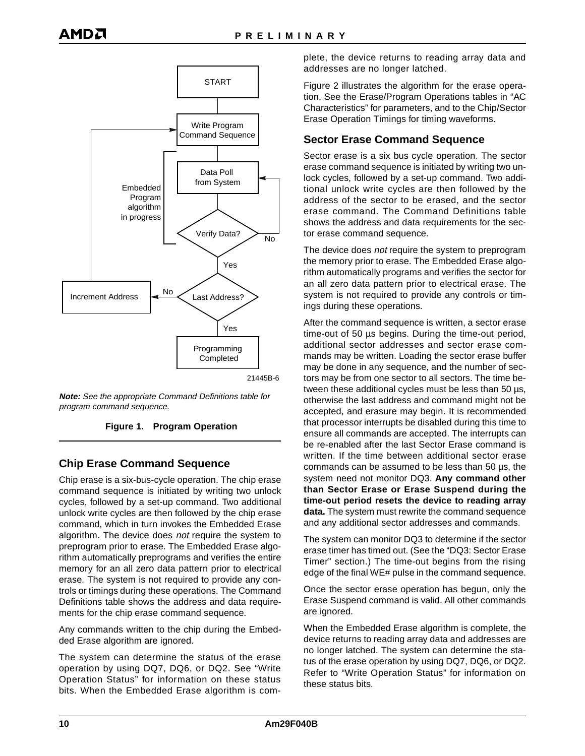<span id="page-9-0"></span>

**Note:** See the appropriate Command Definitions table for program command sequence.



### **Chip Erase Command Sequence**

Chip erase is a six-bus-cycle operation. The chip erase command sequence is initiated by writing two unlock cycles, followed by a set-up command. Two additional unlock write cycles are then followed by the chip erase command, which in turn invokes the Embedded Erase algorithm. The device does not require the system to preprogram prior to erase. The Embedded Erase algorithm automatically preprograms and verifies the entire memory for an all zero data pattern prior to electrical erase. The system is not required to provide any controls or timings during these operations. The Command Definitions table shows the address and data requirements for the chip erase command sequence.

Any commands written to the chip during the Embedded Erase algorithm are ignored.

The system can determine the status of the erase operation by using DQ7, DQ6, or DQ2. See ["Write](#page-12-0) [Operation Status"](#page-12-0) for information on these status bits. When the Embedded Erase algorithm is complete, the device returns to reading array data and addresses are no longer latched.

[Figure 2](#page-10-0) illustrates the algorithm for the erase operation. See the Erase/Program Operations tables in "AC Characteristics" for parameters, and to the Chip/Sector Erase Operation Timings for timing waveforms.

### **Sector Erase Command Sequence**

Sector erase is a six bus cycle operation. The sector erase command sequence is initiated by writing two unlock cycles, followed by a set-up command. Two additional unlock write cycles are then followed by the address of the sector to be erased, and the sector erase command. The Command Definitions table shows the address and data requirements for the sector erase command sequence.

The device does not require the system to preprogram the memory prior to erase. The Embedded Erase algorithm automatically programs and verifies the sector for an all zero data pattern prior to electrical erase. The system is not required to provide any controls or timings during these operations.

After the command sequence is written, a sector erase time-out of 50 µs begins. During the time-out period, additional sector addresses and sector erase commands may be written. Loading the sector erase buffer may be done in any sequence, and the number of sectors may be from one sector to all sectors. The time between these additional cycles must be less than 50 µs, otherwise the last address and command might not be accepted, and erasure may begin. It is recommended that processor interrupts be disabled during this time to ensure all commands are accepted. The interrupts can be re-enabled after the last Sector Erase command is written. If the time between additional sector erase commands can be assumed to be less than 50 µs, the system need not monitor DQ3. **Any command other than Sector Erase or Erase Suspend during the time-out period resets the device to reading array data.** The system must rewrite the command sequence and any additional sector addresses and commands.

The system can monitor DQ3 to determine if the sector erase timer has timed out. (See the ["DQ3: Sector Erase](#page-14-0) [Timer"](#page-14-0) section.) The time-out begins from the rising edge of the final WE# pulse in the command sequence.

Once the sector erase operation has begun, only the Erase Suspend command is valid. All other commands are ignored.

When the Embedded Erase algorithm is complete, the device returns to reading array data and addresses are no longer latched. The system can determine the status of the erase operation by using DQ7, DQ6, or DQ2. Refer to ["Write Operation Status"](#page-12-0) for information on these status bits.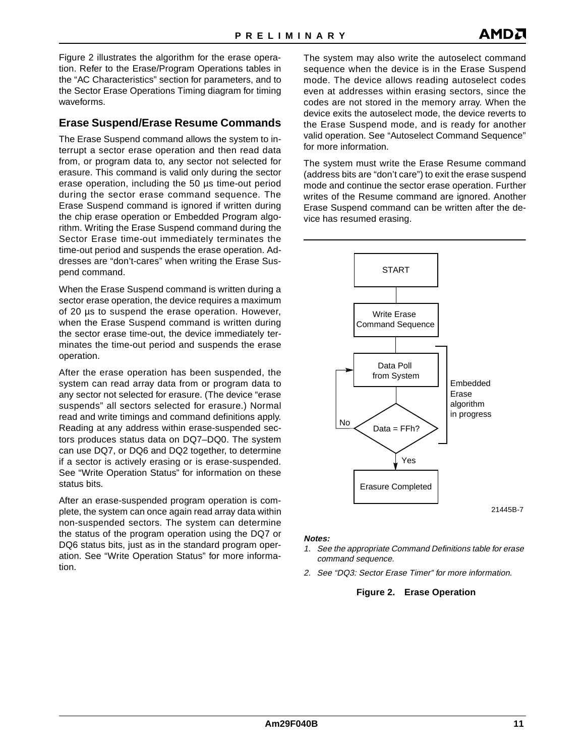<span id="page-10-0"></span>Figure 2 illustrates the algorithm for the erase operation. Refer to the Erase/Program Operations tables in the "AC Characteristics" section for parameters, and to the Sector Erase Operations Timing diagram for timing waveforms.

### **Erase Suspend/Erase Resume Commands**

The Erase Suspend command allows the system to interrupt a sector erase operation and then read data from, or program data to, any sector not selected for erasure. This command is valid only during the sector erase operation, including the 50 µs time-out period during the sector erase command sequence. The Erase Suspend command is ignored if written during the chip erase operation or Embedded Program algorithm. Writing the Erase Suspend command during the Sector Erase time-out immediately terminates the time-out period and suspends the erase operation. Addresses are "don't-cares" when writing the Erase Suspend command.

When the Erase Suspend command is written during a sector erase operation, the device requires a maximum of 20 µs to suspend the erase operation. However, when the Erase Suspend command is written during the sector erase time-out, the device immediately terminates the time-out period and suspends the erase operation.

After the erase operation has been suspended, the system can read array data from or program data to any sector not selected for erasure. (The device "erase suspends" all sectors selected for erasure.) Normal read and write timings and command definitions apply. Reading at any address within erase-suspended sectors produces status data on DQ7–DQ0. The system can use DQ7, or DQ6 and DQ2 together, to determine if a sector is actively erasing or is erase-suspended. See ["Write Operation Status"](#page-12-0) for information on these status bits.

After an erase-suspended program operation is complete, the system can once again read array data within non-suspended sectors. The system can determine the status of the program operation using the DQ7 or DQ6 status bits, just as in the standard program operation. See ["Write Operation Status"](#page-12-0) for more information.

The system may also write the autoselect command sequence when the device is in the Erase Suspend mode. The device allows reading autoselect codes even at addresses within erasing sectors, since the codes are not stored in the memory array. When the device exits the autoselect mode, the device reverts to the Erase Suspend mode, and is ready for another valid operation. See ["Autoselect Command Sequence"](#page-8-0) for more information.

The system must write the Erase Resume command (address bits are "don't care") to exit the erase suspend mode and continue the sector erase operation. Further writes of the Resume command are ignored. Another Erase Suspend command can be written after the device has resumed erasing.



#### **Notes:**

- 1. See the appropriate Command Definitions table for erase command sequence.
- 2. See ["DQ3: Sector Erase Timer"](#page-14-0) for more information.

#### **Figure 2. Erase Operation**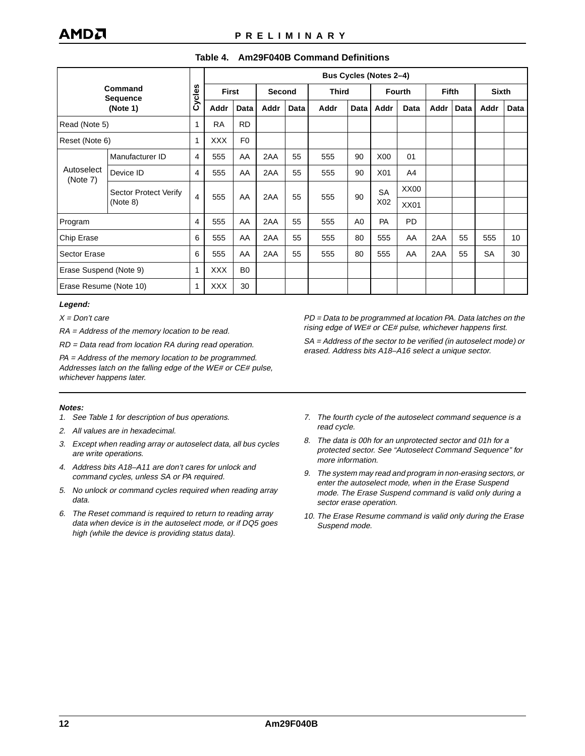#### **Table 4. Am29F040B Command Definitions**

<span id="page-11-0"></span>

|                                        |                             |                |            | <b>Bus Cycles (Notes 2-4)</b> |      |        |      |                |                  |                |              |      |              |             |  |
|----------------------------------------|-----------------------------|----------------|------------|-------------------------------|------|--------|------|----------------|------------------|----------------|--------------|------|--------------|-------------|--|
| Command<br><b>Sequence</b><br>(Note 1) |                             | Cycles         |            | <b>First</b>                  |      | Second |      | <b>Third</b>   |                  | <b>Fourth</b>  | <b>Fifth</b> |      | <b>Sixth</b> |             |  |
|                                        |                             |                | Addr       | Data                          | Addr | Data   | Addr | Data           | Addr             | Data           | Addr         | Data | Addr         | <b>Data</b> |  |
| Read (Note 5)                          | <b>RD</b><br>1<br><b>RA</b> |                |            |                               |      |        |      |                |                  |                |              |      |              |             |  |
| Reset (Note 6)                         |                             | 1              | <b>XXX</b> | F <sub>0</sub>                |      |        |      |                |                  |                |              |      |              |             |  |
|                                        | Manufacturer ID             | 4              | 555        | AA                            | 2AA  | 55     | 555  | 90             | X <sub>00</sub>  | 01             |              |      |              |             |  |
| Autoselect                             | Device ID                   | $\overline{4}$ | 555        | AA                            | 2AA  | 55     | 555  | 90             | X01              | A <sub>4</sub> |              |      |              |             |  |
| (Note 7)                               | Sector Protect Verify       |                |            |                               |      |        |      |                | <b>SA</b>        | XX00           |              |      |              |             |  |
|                                        | (Note 8)                    | $\overline{4}$ | 555        | AA                            | 2AA  | 55     | 555  | 90             | X <sub>0</sub> 2 | <b>XX01</b>    |              |      |              |             |  |
| Program                                |                             | $\overline{4}$ | 555        | AA                            | 2AA  | 55     | 555  | A <sub>0</sub> | PA               | <b>PD</b>      |              |      |              |             |  |
| Chip Erase                             |                             | 6              | 555        | AA                            | 2AA  | 55     | 555  | 80             | 555              | AA             | 2AA          | 55   | 555          | 10          |  |
| <b>Sector Erase</b>                    |                             | 6              | 555        | AA                            | 2AA  | 55     | 555  | 80             | 555              | AA             | 2AA          | 55   | SA           | 30          |  |
| Erase Suspend (Note 9)                 |                             | 1              | <b>XXX</b> | B <sub>0</sub>                |      |        |      |                |                  |                |              |      |              |             |  |
| Erase Resume (Note 10)                 |                             | $\mathbf{1}$   | <b>XXX</b> | 30                            |      |        |      |                |                  |                |              |      |              |             |  |

#### **Legend:**

 $X = Don't$  care

RA = Address of the memory location to be read.

RD = Data read from location RA during read operation.

PA = Address of the memory location to be programmed. Addresses latch on the falling edge of the WE# or CE# pulse, whichever happens later.

**Notes:**

- 1. See Table 1 for description of bus operations.
- 2. All values are in hexadecimal.
- 3. Except when reading array or autoselect data, all bus cycles are write operations.
- 4. Address bits A18–A11 are don't cares for unlock and command cycles, unless SA or PA required.
- 5. No unlock or command cycles required when reading array data.
- 6. The Reset command is required to return to reading array data when device is in the autoselect mode, or if DQ5 goes high (while the device is providing status data).

PD = Data to be programmed at location PA. Data latches on the rising edge of WE# or CE# pulse, whichever happens first.

SA = Address of the sector to be verified (in autoselect mode) or erased. Address bits A18–A16 select a unique sector.

- 7. The fourth cycle of the autoselect command sequence is a read cycle.
- 8. The data is 00h for an unprotected sector and 01h for a protected sector. See "Autoselect Command Sequence" for more information.
- 9. The system may read and program in non-erasing sectors, or enter the autoselect mode, when in the Erase Suspend mode. The Erase Suspend command is valid only during a sector erase operation.
- 10. The Erase Resume command is valid only during the Erase Suspend mode.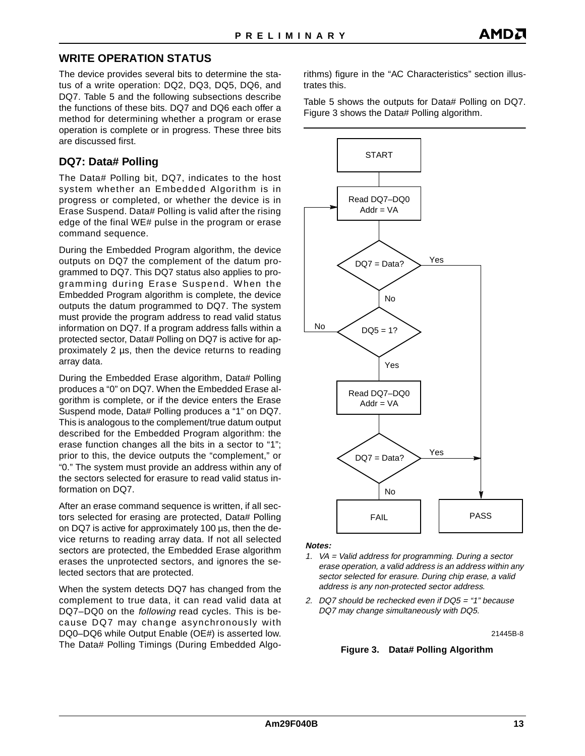### <span id="page-12-0"></span>**WRITE OPERATION STATUS**

The device provides several bits to determine the status of a write operation: DQ2, DQ3, DQ5, DQ6, and DQ7. [Table 5](#page-15-0) and the following subsections describe the functions of these bits. DQ7 and DQ6 each offer a method for determining whether a program or erase operation is complete or in progress. These three bits are discussed first.

#### **DQ7: Data# Polling**

The Data# Polling bit, DQ7, indicates to the host system whether an Embedded Algorithm is in progress or completed, or whether the device is in Erase Suspend. Data# Polling is valid after the rising edge of the final WE# pulse in the program or erase command sequence.

During the Embedded Program algorithm, the device outputs on DQ7 the complement of the datum programmed to DQ7. This DQ7 status also applies to programming during Erase Suspend. When the Embedded Program algorithm is complete, the device outputs the datum programmed to DQ7. The system must provide the program address to read valid status information on DQ7. If a program address falls within a protected sector, Data# Polling on DQ7 is active for approximately 2 µs, then the device returns to reading array data.

During the Embedded Erase algorithm, Data# Polling produces a "0" on DQ7. When the Embedded Erase algorithm is complete, or if the device enters the Erase Suspend mode, Data# Polling produces a "1" on DQ7. This is analogous to the complement/true datum output described for the Embedded Program algorithm: the erase function changes all the bits in a sector to "1"; prior to this, the device outputs the "complement," or "0." The system must provide an address within any of the sectors selected for erasure to read valid status information on DQ7.

After an erase command sequence is written, if all sectors selected for erasing are protected, Data# Polling on DQ7 is active for approximately 100 µs, then the device returns to reading array data. If not all selected sectors are protected, the Embedded Erase algorithm erases the unprotected sectors, and ignores the selected sectors that are protected.

When the system detects DQ7 has changed from the complement to true data, it can read valid data at DQ7–DQ0 on the following read cycles. This is because DQ7 may change asynchronously with DQ0–DQ6 while Output Enable (OE#) is asserted low. The Data# Polling Timings (During Embedded Algorithms) figure in the "AC Characteristics" section illustrates this.

[Table 5](#page-15-0) shows the outputs for Data# Polling on DQ7. Figure 3 shows the Data# Polling algorithm.



**Notes:**

- 1. VA = Valid address for programming. During a sector erase operation, a valid address is an address within any sector selected for erasure. During chip erase, a valid address is any non-protected sector address.
- 2. DQ7 should be rechecked even if DQ5 = "1" because DQ7 may change simultaneously with DQ5.

21445B-8

#### **Figure 3. Data# Polling Algorithm**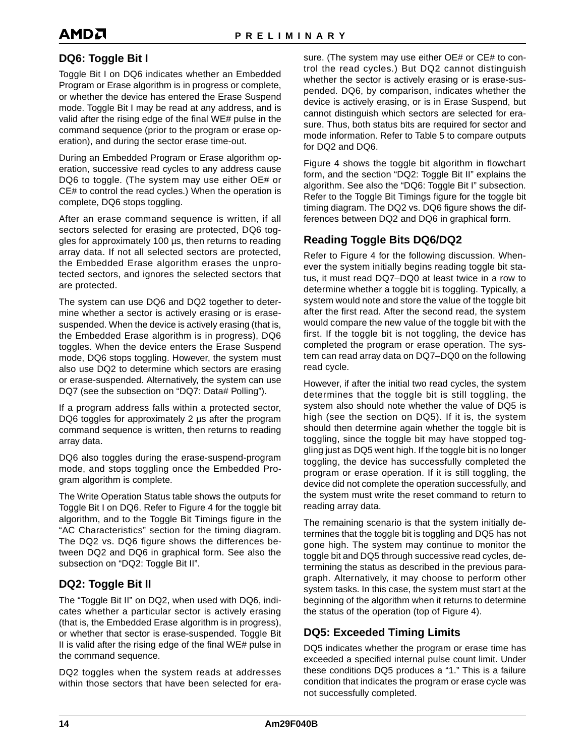## <span id="page-13-0"></span>AMDA

### **DQ6: Toggle Bit I**

Toggle Bit I on DQ6 indicates whether an Embedded Program or Erase algorithm is in progress or complete, or whether the device has entered the Erase Suspend mode. Toggle Bit I may be read at any address, and is valid after the rising edge of the final WE# pulse in the command sequence (prior to the program or erase operation), and during the sector erase time-out.

During an Embedded Program or Erase algorithm operation, successive read cycles to any address cause DQ6 to toggle. (The system may use either OE# or CE# to control the read cycles.) When the operation is complete, DQ6 stops toggling.

After an erase command sequence is written, if all sectors selected for erasing are protected, DQ6 toggles for approximately 100 µs, then returns to reading array data. If not all selected sectors are protected, the Embedded Erase algorithm erases the unprotected sectors, and ignores the selected sectors that are protected.

The system can use DQ6 and DQ2 together to determine whether a sector is actively erasing or is erasesuspended. When the device is actively erasing (that is, the Embedded Erase algorithm is in progress), DQ6 toggles. When the device enters the Erase Suspend mode, DQ6 stops toggling. However, the system must also use DQ2 to determine which sectors are erasing or erase-suspended. Alternatively, the system can use DQ7 (see the subsection on ["DQ7: Data# Polling](#page-12-0)").

If a program address falls within a protected sector, DQ6 toggles for approximately 2 us after the program command sequence is written, then returns to reading array data.

DQ6 also toggles during the erase-suspend-program mode, and stops toggling once the Embedded Program algorithm is complete.

The Write Operation Status table shows the outputs for Toggle Bit I on DQ6. Refer to [Figure 4](#page-14-0) for the toggle bit algorithm, and to the Toggle Bit Timings figure in the "AC Characteristics" section for the timing diagram. The DQ2 vs. DQ6 figure shows the differences between DQ2 and DQ6 in graphical form. See also the subsection on "DQ2: Toggle Bit II".

### **DQ2: Toggle Bit II**

The "Toggle Bit II" on DQ2, when used with DQ6, indicates whether a particular sector is actively erasing (that is, the Embedded Erase algorithm is in progress), or whether that sector is erase-suspended. Toggle Bit II is valid after the rising edge of the final WE# pulse in the command sequence.

DQ2 toggles when the system reads at addresses within those sectors that have been selected for erasure. (The system may use either OE# or CE# to control the read cycles.) But DQ2 cannot distinguish whether the sector is actively erasing or is erase-suspended. DQ6, by comparison, indicates whether the device is actively erasing, or is in Erase Suspend, but cannot distinguish which sectors are selected for erasure. Thus, both status bits are required for sector and mode information. Refer to [Table 5](#page-15-0) to compare outputs for DQ2 and DQ6.

[Figure 4](#page-14-0) shows the toggle bit algorithm in flowchart form, and the section "DQ2: Toggle Bit II" explains the algorithm. See also the "DQ6: Toggle Bit I" subsection. Refer to the Toggle Bit Timings figure for the toggle bit timing diagram. The DQ2 vs. DQ6 figure shows the differences between DQ2 and DQ6 in graphical form.

### **Reading Toggle Bits DQ6/DQ2**

Refer to [Figure 4](#page-14-0) for the following discussion. Whenever the system initially begins reading toggle bit status, it must read DQ7–DQ0 at least twice in a row to determine whether a toggle bit is toggling. Typically, a system would note and store the value of the toggle bit after the first read. After the second read, the system would compare the new value of the toggle bit with the first. If the toggle bit is not toggling, the device has completed the program or erase operation. The system can read array data on DQ7–DQ0 on the following read cycle.

However, if after the initial two read cycles, the system determines that the toggle bit is still toggling, the system also should note whether the value of DQ5 is high (see the section on DQ5). If it is, the system should then determine again whether the toggle bit is toggling, since the toggle bit may have stopped toggling just as DQ5 went high. If the toggle bit is no longer toggling, the device has successfully completed the program or erase operation. If it is still toggling, the device did not complete the operation successfully, and the system must write the reset command to return to reading array data.

The remaining scenario is that the system initially determines that the toggle bit is toggling and DQ5 has not gone high. The system may continue to monitor the toggle bit and DQ5 through successive read cycles, determining the status as described in the previous paragraph. Alternatively, it may choose to perform other system tasks. In this case, the system must start at the beginning of the algorithm when it returns to determine the status of the operation (top o[f Figure 4](#page-14-0)).

### **DQ5: Exceeded Timing Limits**

DQ5 indicates whether the program or erase time has exceeded a specified internal pulse count limit. Under these conditions DQ5 produces a "1." This is a failure condition that indicates the program or erase cycle was not successfully completed.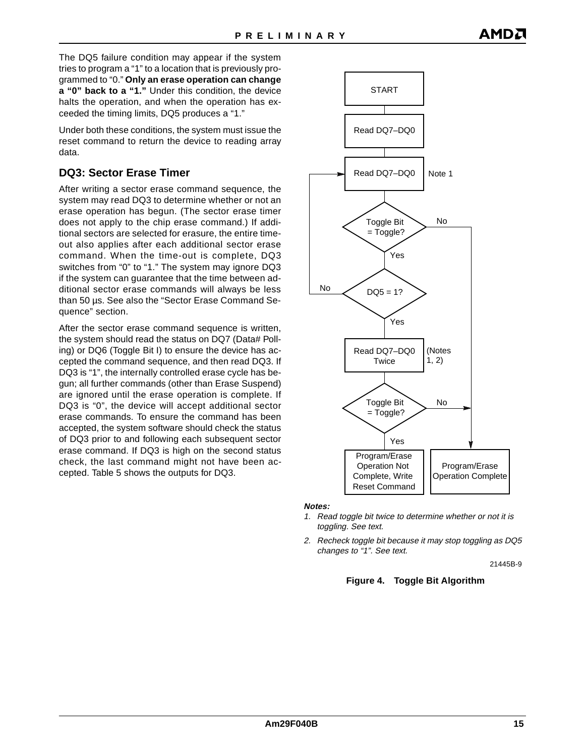<span id="page-14-0"></span>The DQ5 failure condition may appear if the system tries to program a "1" to a location that is previously programmed to "0." **Only an erase operation can change a "0" back to a "1."** Under this condition, the device halts the operation, and when the operation has exceeded the timing limits, DQ5 produces a "1."

Under both these conditions, the system must issue the reset command to return the device to reading array data.

### **DQ3: Sector Erase Timer**

After writing a sector erase command sequence, the system may read DQ3 to determine whether or not an erase operation has begun. (The sector erase timer does not apply to the chip erase command.) If additional sectors are selected for erasure, the entire timeout also applies after each additional sector erase command. When the time-out is complete, DQ3 switches from "0" to "1." The system may ignore DQ3 if the system can guarantee that the time between additional sector erase commands will always be less than 50 µs. See also the ["Sector Erase Command Se](#page-9-0)[quence"](#page-9-0) section.

After the sector erase command sequence is written, the system should read the status on DQ7 (Data# Polling) or DQ6 (Toggle Bit I) to ensure the device has accepted the command sequence, and then read DQ3. If DQ3 is "1", the internally controlled erase cycle has begun; all further commands (other than Erase Suspend) are ignored until the erase operation is complete. If DQ3 is "0", the device will accept additional sector erase commands. To ensure the command has been accepted, the system software should check the status of DQ3 prior to and following each subsequent sector erase command. If DQ3 is high on the second status check, the last command might not have been accepted. [Table 5](#page-15-0) shows the outputs for DQ3.



#### **Notes:**

- 1. Read toggle bit twice to determine whether or not it is toggling. See text.
- 2. Recheck toggle bit because it may stop toggling as DQ5 changes to "1". See text.

21445B-9

#### **Figure 4. Toggle Bit Algorithm**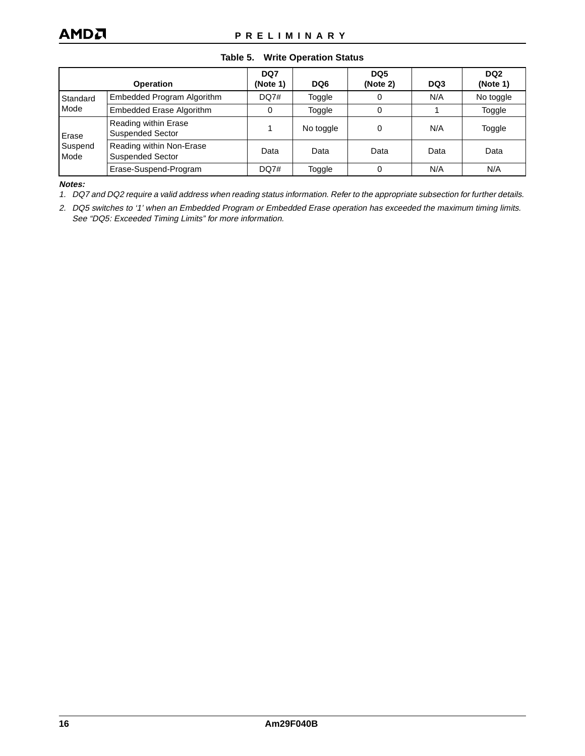#### **Table 5. Write Operation Status**

<span id="page-15-0"></span>

|                 | <b>Operation</b>                                    | DQ7<br>(Note 1) | DQ6       | DQ <sub>5</sub><br>(Note 2) | DQ3  | DQ <sub>2</sub><br>(Note 1) |
|-----------------|-----------------------------------------------------|-----------------|-----------|-----------------------------|------|-----------------------------|
| Standard        | Embedded Program Algorithm                          | DQ7#            | Toggle    |                             | N/A  | No toggle                   |
| Mode            | <b>Embedded Erase Algorithm</b>                     | 0               | Toggle    |                             |      | Toggle                      |
| Erase           | Reading within Erase<br><b>Suspended Sector</b>     |                 | No toggle | 0                           | N/A  | Toggle                      |
| Suspend<br>Mode | Reading within Non-Erase<br><b>Suspended Sector</b> | Data            | Data      | Data                        | Data | Data                        |
|                 | Erase-Suspend-Program                               | DQ7#            | Toggle    |                             | N/A  | N/A                         |

**Notes:**

1. DQ7 and DQ2 require a valid address when reading status information. Refer to the appropriate subsection for further details.

2. DQ5 switches to '1' when an Embedded Program or Embedded Erase operation has exceeded the maximum timing limits. See ["DQ5: Exceeded Timing Limits"](#page-13-0) for more information.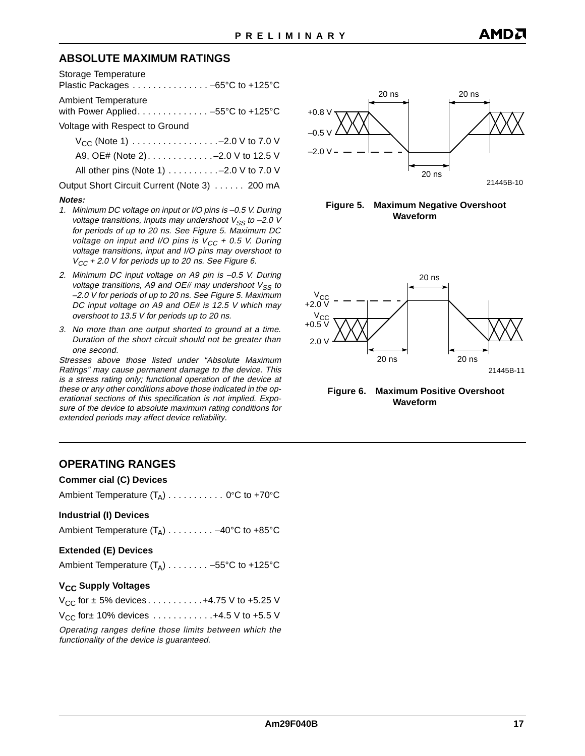### **ABSOLUTE MAXIMUM RATINGS**

|  |  | Plastic Packages -65°C to +125°C |
|--|--|----------------------------------|
|  |  |                                  |

Ambient Temperature

with Power Applied. . . . . . . . . . . . . . -55°C to +125°C Voltage with Respect to Ground

| $V_{CC}$ (Note 1) $\ldots \ldots \ldots \ldots \ldots -2.0$ V to 7.0 V |  |
|------------------------------------------------------------------------|--|
| A9, OE# (Note 2)-2.0 V to 12.5 V                                       |  |
| All other pins (Note 1) - 2.0 V to 7.0 V                               |  |
| Output Short Circuit Current (Note 3) 200 mA                           |  |

#### **Notes:**

- 1. Minimum DC voltage on input or I/O pins is –0.5 V. During voltage transitions, inputs may undershoot  $V_{SS}$  to -2.0 V for periods of up to 20 ns. See Figure 5. Maximum DC voltage on input and I/O pins is  $V_{CC}$  + 0.5 V. During voltage transitions, input and I/O pins may overshoot to  $V_{CC}$  + 2.0 V for periods up to 20 ns. See Figure 6.
- 2. Minimum DC input voltage on A9 pin is –0.5 V. During voltage transitions, A9 and OE# may undershoot  $V_{SS}$  to –2.0 V for periods of up to 20 ns. See Figure 5. Maximum DC input voltage on A9 and OE# is 12.5 V which may overshoot to 13.5 V for periods up to 20 ns.
- 3. No more than one output shorted to ground at a time. Duration of the short circuit should not be greater than one second.

Stresses above those listed under "Absolute Maximum Ratings" may cause permanent damage to the device. This is a stress rating only; functional operation of the device at these or any other conditions above those indicated in the operational sections of this specification is not implied. Exposure of the device to absolute maximum rating conditions for extended periods may affect device reliability.









### **OPERATING RANGES**

#### **Commer cial (C) Devices**

Ambient Temperature  $(T_A)$ .......... 0°C to +70°C

#### **Industrial (I) Devices**

Ambient Temperature  $(T_A)$ ........ –40°C to +85°C

#### **Extended (E) Devices**

| Ambient Temperature $(T_A)$ -55°C to +125°C |  |  |
|---------------------------------------------|--|--|
|---------------------------------------------|--|--|

#### **V<sub>CC</sub> Supply Voltages**

| $V_{CC}$ for $\pm$ 5% devices 4.75 V to +5.25 V                       |
|-----------------------------------------------------------------------|
| $V_{CC}$ for ± 10% devices $\dots \dots \dots \dots +4.5$ V to +5.5 V |

Operating ranges define those limits between which the functionality of the device is guaranteed.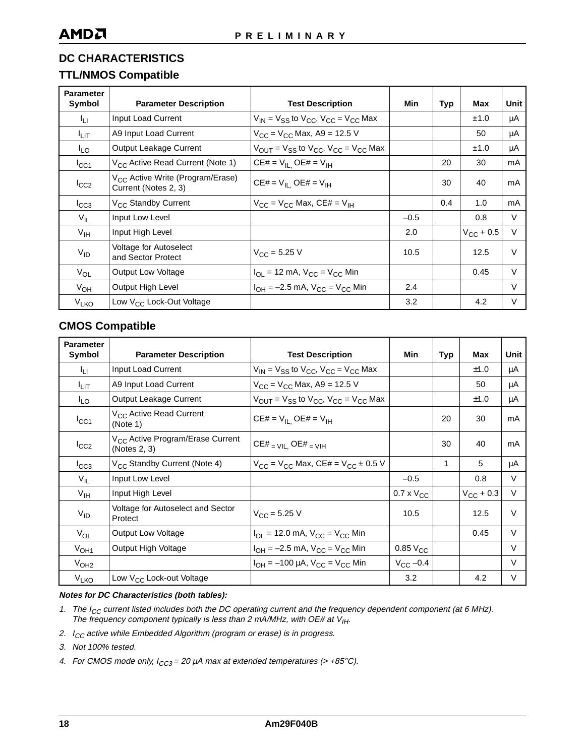### **TTL/NMOS Compatible**

| <b>Parameter</b><br>Symbol | <b>Parameter Description</b>                                         | <b>Test Description</b>                                                                   | Min    | Typ | Max                | Unit   |
|----------------------------|----------------------------------------------------------------------|-------------------------------------------------------------------------------------------|--------|-----|--------------------|--------|
| ŀц                         | Input Load Current                                                   | $V_{IN}$ = $V_{SS}$ to $V_{CC}$ , $V_{CC}$ = $V_{CC}$ Max                                 |        |     | ±1.0               | μA     |
| I <sub>LIТ</sub>           | A9 Input Load Current                                                | $V_{CC}$ = $V_{CC}$ Max, A9 = 12.5 V                                                      |        |     | 50                 | μA     |
| <sup>I</sup> LO            | <b>Output Leakage Current</b>                                        | $V_{\text{OUT}} = V_{\text{SS}}$ to $V_{\text{CC}}$ , $V_{\text{CC}} = V_{\text{CC}}$ Max |        |     | ±1.0               | μA     |
| $I_{\rm CC1}$              | V <sub>CC</sub> Active Read Current (Note 1)                         | $CE# = V_{IL}$ $OE# = V_{IH}$                                                             |        | 20  | 30                 | mA     |
| $I_{CC2}$                  | V <sub>CC</sub> Active Write (Program/Erase)<br>Current (Notes 2, 3) | $CE# = V_{IL}$ $OE# = V_{IH}$                                                             |        | 30  | 40                 | mA     |
| $I_{CC3}$                  | V <sub>CC</sub> Standby Current                                      | $V_{CC}$ = $V_{CC}$ Max, CE# = $V_{IH}$                                                   |        | 0.4 | 1.0                | mA     |
| $V_{IL}$                   | Input Low Level                                                      |                                                                                           | $-0.5$ |     | 0.8                | V      |
| $V_{\text{IH}}$            | Input High Level                                                     |                                                                                           | 2.0    |     | $V_{\rm CC}$ + 0.5 | $\vee$ |
| $V_{ID}$                   | Voltage for Autoselect<br>and Sector Protect                         | $V_{\text{CC}} = 5.25$ V                                                                  | 10.5   |     | 12.5               | $\vee$ |
| $V_{OL}$                   | <b>Output Low Voltage</b>                                            | $I_{\text{OL}}$ = 12 mA, $V_{\text{CC}}$ = $V_{\text{CC}}$ Min                            |        |     | 0.45               | $\vee$ |
| $V_{OH}$                   | Output High Level                                                    | $I_{OH} = -2.5$ mA, $V_{CC} = V_{CC}$ Min                                                 | 2.4    |     |                    | $\vee$ |
| <b>V<sub>LKO</sub></b>     | Low V <sub>CC</sub> Lock-Out Voltage                                 |                                                                                           | 3.2    |     | 4.2                | $\vee$ |

### **CMOS Compatible**

| <b>Parameter</b><br>Symbol | <b>Parameter Description</b>                                 | <b>Test Description</b>                                    | Min                 | Typ          | Max                | Unit   |
|----------------------------|--------------------------------------------------------------|------------------------------------------------------------|---------------------|--------------|--------------------|--------|
| 41 L                       | Input Load Current                                           | $V_{IN}$ = $V_{SS}$ to $V_{CC}$ , $V_{CC}$ = $V_{CC}$ Max  |                     |              | ±1.0               | μA     |
| I <sub>LIT</sub>           | A9 Input Load Current                                        | $V_{CC}$ = $V_{CC}$ Max, A9 = 12.5 V                       |                     |              | 50                 | μA     |
| <sup>I</sup> LO            | Output Leakage Current                                       | $V_{OUT}$ = $V_{SS}$ to $V_{CC}$ , $V_{CC}$ = $V_{CC}$ Max |                     |              | ±1.0               | μA     |
| $I_{\rm CC1}$              | V <sub>CC</sub> Active Read Current<br>(Note 1)              | $CE# = V_{IL}$ $OE# = V_{IH}$                              |                     | 20           | 30                 | mA     |
| $I_{CC2}$                  | V <sub>CC</sub> Active Program/Erase Current<br>(Notes 2, 3) | $CE#$ = $VIL$ , $OE#$ = $VIH$                              |                     | 30           | 40                 | mA     |
| $I_{CC3}$                  | V <sub>CC</sub> Standby Current (Note 4)                     | $V_{CC} = V_{CC}$ Max, CE# = $V_{CC} \pm 0.5$ V            |                     | $\mathbf{1}$ | 5                  | μA     |
| $V_{IL}$                   | Input Low Level                                              |                                                            | $-0.5$              |              | 0.8                | $\vee$ |
| $V_{\text{IH}}$            | Input High Level                                             |                                                            | $0.7 \times V_{CC}$ |              | $V_{\rm CC}$ + 0.3 | $\vee$ |
| $V_{ID}$                   | Voltage for Autoselect and Sector<br>Protect                 | $V_{C}$ = 5.25 V                                           | 10.5                |              | 12.5               | $\vee$ |
| $V_{OL}$                   | <b>Output Low Voltage</b>                                    | $I_{OL}$ = 12.0 mA, $V_{CC}$ = $V_{CC}$ Min                |                     |              | 0.45               | $\vee$ |
| V <sub>OH1</sub>           | Output High Voltage                                          | $I_{OH} = -2.5$ mA, $V_{CC} = V_{CC}$ Min                  | $0.85$ $V_{CC}$     |              |                    | V      |
| V <sub>OH2</sub>           |                                                              | $I_{OH} = -100 \mu A$ , $V_{CC} = V_{CC}$ Min              | $V_{\rm CC}$ -0.4   |              |                    | $\vee$ |
| V <sub>LKO</sub>           | Low V <sub>CC</sub> Lock-out Voltage                         |                                                            | 3.2                 |              | 4.2                | $\vee$ |

#### **Notes for DC Characteristics (both tables):**

- 1. The  $I_{CC}$  current listed includes both the DC operating current and the frequency dependent component (at 6 MHz). The frequency component typically is less than 2 mA/MHz, with OE# at  $V_{\text{IH}}$ .
- 2.  $I_{CC}$  active while Embedded Algorithm (program or erase) is in progress.
- 3. Not 100% tested.
- 4. For CMOS mode only,  $I_{CC3} = 20 \mu A$  max at extended temperatures (> +85°C).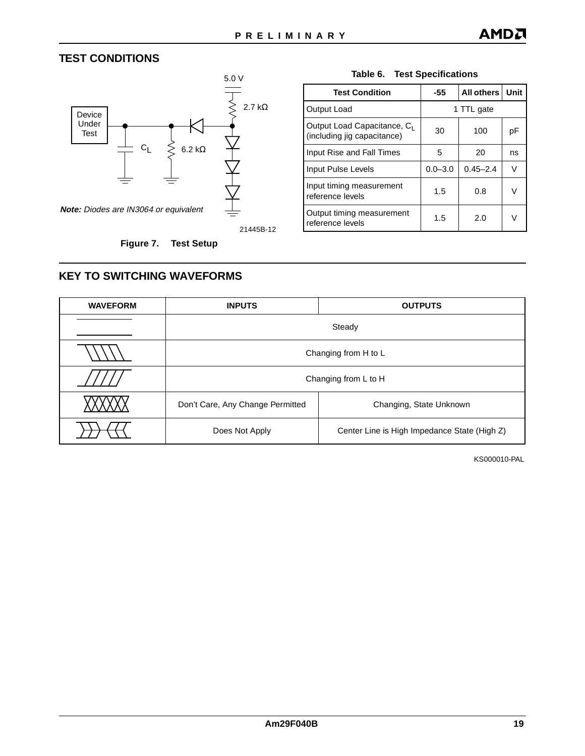### <span id="page-18-0"></span>**TEST CONDITIONS**



21445B-12

 **Figure 7. Test Setup**

#### **Table 6. Test Specifications**

| <b>Test Condition</b>                                                  | -55         | <b>All others</b> | Unit |  |  |
|------------------------------------------------------------------------|-------------|-------------------|------|--|--|
| Output Load                                                            | 1 TTL gate  |                   |      |  |  |
| Output Load Capacitance, C <sub>1</sub><br>(including jig capacitance) | 30          | 100               | рF   |  |  |
| Input Rise and Fall Times                                              | 5           | 20                | ns   |  |  |
| Input Pulse Levels                                                     | $0.0 - 3.0$ | $0.45 - 2.4$      | V    |  |  |
| Input timing measurement<br>reference levels                           | 1.5         | 0.8               | V    |  |  |
| Output timing measurement<br>reference levels                          | 1.5         | 2.0               | ν    |  |  |

### **KEY TO SWITCHING WAVEFORMS**

| <b>WAVEFORM</b> | <b>INPUTS</b>                                                  | <b>OUTPUTS</b>          |  |  |  |  |
|-----------------|----------------------------------------------------------------|-------------------------|--|--|--|--|
|                 | Steady                                                         |                         |  |  |  |  |
|                 | Changing from H to L                                           |                         |  |  |  |  |
|                 |                                                                | Changing from L to H    |  |  |  |  |
|                 | Don't Care, Any Change Permitted                               | Changing, State Unknown |  |  |  |  |
|                 | Center Line is High Impedance State (High Z)<br>Does Not Apply |                         |  |  |  |  |

KS000010-PAL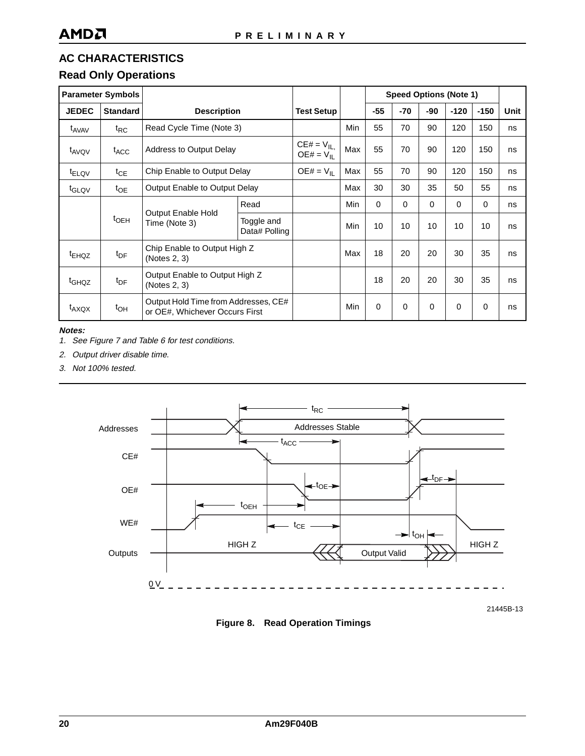### **Read Only Operations**

| <b>Parameter Symbols</b> |                  |                                                                        |                             |                                  |     |                 |          |          | <b>Speed Options (Note 1)</b> |          |      |
|--------------------------|------------------|------------------------------------------------------------------------|-----------------------------|----------------------------------|-----|-----------------|----------|----------|-------------------------------|----------|------|
| <b>JEDEC</b>             | <b>Standard</b>  | <b>Description</b>                                                     |                             | <b>Test Setup</b>                |     | $-55$           | -70      | -90      | $-120$                        | $-150$   | Unit |
| t <sub>AVAV</sub>        | $t_{RC}$         | Read Cycle Time (Note 3)                                               |                             |                                  | Min | 55              | 70       | 90       | 120                           | 150      | ns   |
| t <sub>AVQV</sub>        | $t_{ACC}$        | Address to Output Delay                                                |                             | $CE# = V_{IL}$<br>$OE# = V_{II}$ | Max | 55              | 70       | 90       | 120                           | 150      | ns   |
| <sup>t</sup> ELQV        | $t_{CE}$         | Chip Enable to Output Delay                                            |                             | $OE# = V_{IL}$                   | Max | 55              | 70       | 90       | 120                           | 150      | ns   |
| t <sub>GLQV</sub>        | $t_{OE}$         | Output Enable to Output Delay                                          |                             |                                  | Max | 30              | 30       | 35       | 50                            | 55       | ns   |
|                          |                  |                                                                        | Read                        |                                  | Min | $\Omega$        | $\Omega$ | $\Omega$ | $\Omega$                      | $\Omega$ | ns   |
|                          | $t_{\text{OEH}}$ | <b>Output Enable Hold</b><br>Time (Note 3)                             | Toggle and<br>Data# Polling |                                  | Min | 10 <sup>1</sup> | 10       | 10       | 10                            | 10       | ns   |
| <sup>t</sup> EHQZ        | $t_{DF}$         | Chip Enable to Output High Z<br>(Notes 2, 3)                           |                             |                                  | Max | 18              | 20       | 20       | 30                            | 35       | ns   |
| t <sub>GHQZ</sub>        | $t_{\text{DF}}$  | Output Enable to Output High Z<br>(Notes 2, 3)                         |                             |                                  |     | 18              | 20       | 20       | 30                            | 35       | ns   |
| $t_{AXQX}$               | $t_{OH}$         | Output Hold Time from Addresses, CE#<br>or OE#, Whichever Occurs First |                             |                                  | Min | $\Omega$        | $\Omega$ | $\Omega$ | $\Omega$                      | $\Omega$ | ns   |

#### **Notes:**

- 1. See [Figure 7](#page-18-0) and [Table 6](#page-18-0) for test conditions.
- 2. Output driver disable time.
- 3. Not 100% tested.



21445B-13

 **Figure 8. Read Operation Timings**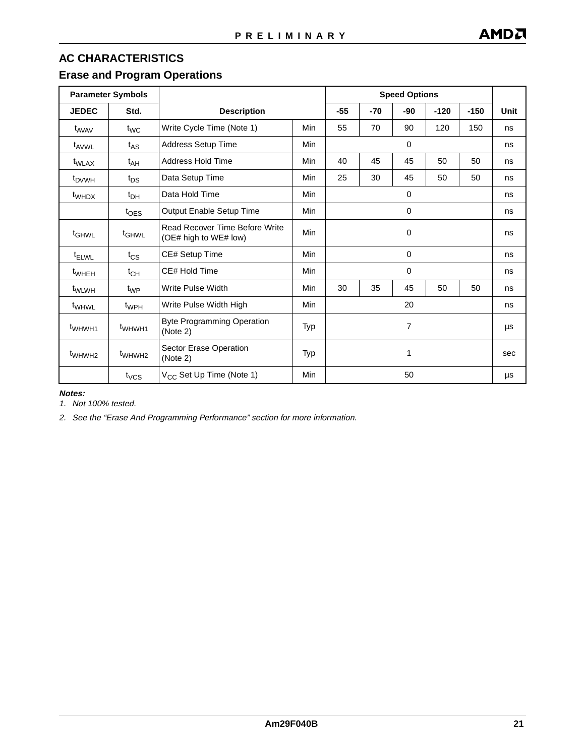### **Erase and Program Operations**

| <b>Parameter Symbols</b> |                    |                                                         |            |             | <b>Speed Options</b> |          |        |        |      |
|--------------------------|--------------------|---------------------------------------------------------|------------|-------------|----------------------|----------|--------|--------|------|
| <b>JEDEC</b>             | Std.               | <b>Description</b>                                      |            | $-55$       | $-70$                | -90      | $-120$ | $-150$ | Unit |
| t <sub>AVAV</sub>        | $t_{WC}$           | Write Cycle Time (Note 1)                               | Min        | 55          | 70                   | 90       | 120    | 150    | ns   |
| t <sub>AVWL</sub>        | $t_{AS}$           | <b>Address Setup Time</b>                               | <b>Min</b> |             |                      | $\Omega$ |        |        | ns   |
| <sup>t</sup> WLAX        | $t_{AH}$           | Address Hold Time                                       | <b>Min</b> | 40          | 45                   | 45       | 50     | 50     | ns   |
| t <sub>DVWH</sub>        | $t_{DS}$           | Data Setup Time                                         | Min        | 25          | 30                   | 45       | 50     | 50     | ns   |
| $t_{WHDX}$               | $t_{DH}$           | Data Hold Time                                          | Min        |             |                      | 0        |        |        | ns   |
|                          | $t_{\text{OES}}$   | Output Enable Setup Time                                | Min        | $\mathbf 0$ |                      |          | ns     |        |      |
| $t_{\text{GHWL}}$        | <sup>t</sup> GHWL  | Read Recover Time Before Write<br>(OE# high to WE# low) | Min        | 0           |                      |          | ns     |        |      |
| <sup>t</sup> ELWL        | $t_{\text{CS}}$    | CE# Setup Time                                          | Min        | 0           |                      |          | ns     |        |      |
| <sup>t</sup> wheh        | $t_{CH}$           | CE# Hold Time                                           | <b>Min</b> |             |                      | 0        |        |        | ns   |
| t <sub>WLWH</sub>        | t <sub>WP</sub>    | Write Pulse Width                                       | Min        | 30          | 35                   | 45       | 50     | 50     | ns   |
| t <sub>WHWL</sub>        | t <sub>WPH</sub>   | Write Pulse Width High                                  | Min        | 20          |                      |          | ns     |        |      |
| t <sub>WHWH1</sub>       | t <sub>WHWH1</sub> | <b>Byte Programming Operation</b><br>(Note 2)           | Typ        | 7           |                      |          | μs     |        |      |
| t <sub>WHWH2</sub>       | t <sub>WHWH2</sub> | Sector Erase Operation<br>(Note 2)                      | Typ        | 1           |                      | sec      |        |        |      |
|                          | $t_{VCS}$          | V <sub>CC</sub> Set Up Time (Note 1)                    | Min        |             |                      | 50       |        |        | μs   |

#### **Notes:**

1. Not 100% tested.

2. See the ["Erase And Programming Performance"](#page-24-0) section for more information.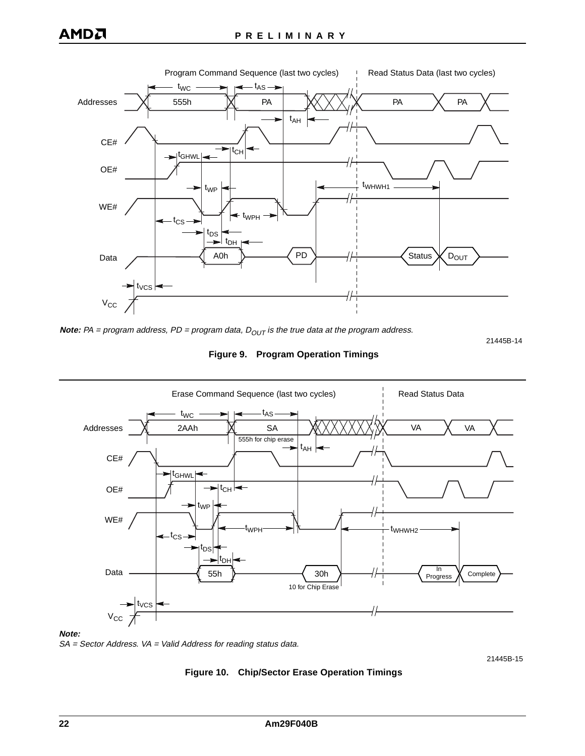

**Note:** PA = program address, PD = program data,  $D_{OUT}$  is the true data at the program address.

21445B-14

#### **Figure 9. Program Operation Timings**



#### **Note:**

SA = Sector Address. VA = Valid Address for reading status data.

21445B-15

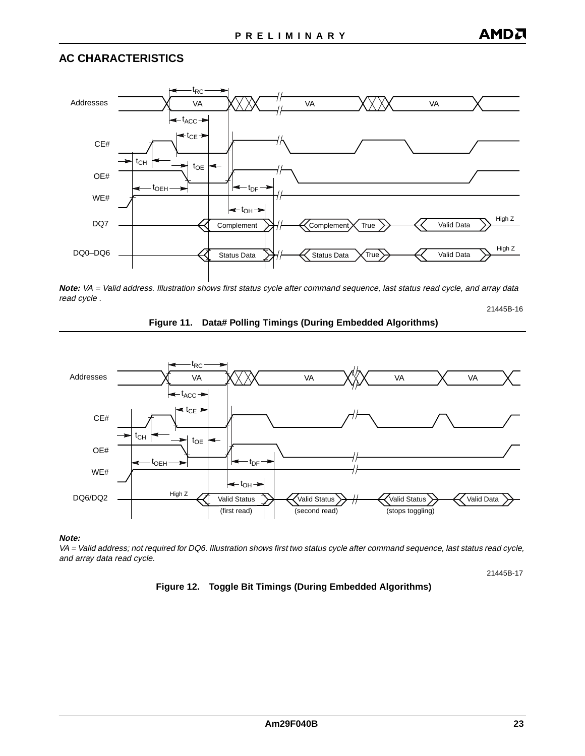

**Note:** VA = Valid address. Illustration shows first status cycle after command sequence, last status read cycle, and array data read cycle .





**Note:**

VA = Valid address; not required for DQ6. Illustration shows first two status cycle after command sequence, last status read cycle, and array data read cycle.

21445B-17

21445B-16

#### **Figure 12. Toggle Bit Timings (During Embedded Algorithms)**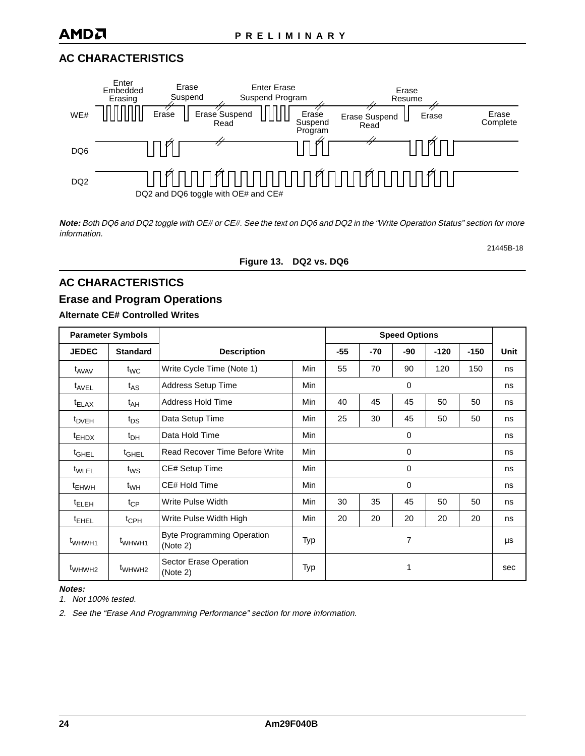

**Note:** Both DQ6 and DQ2 toggle with OE# or CE#. See the text on DQ6 and DQ2 in the ["Write Operation Status"](#page-12-0) section for more information.

21445B-18

#### **Figure 13. DQ2 vs. DQ6**

### **AC CHARACTERISTICS**

### **Erase and Program Operations**

#### **Alternate CE# Controlled Writes**

| <b>Parameter Symbols</b> |                    |                                               |            | <b>Speed Options</b> |       |     |        |        |      |
|--------------------------|--------------------|-----------------------------------------------|------------|----------------------|-------|-----|--------|--------|------|
| <b>JEDEC</b>             | <b>Standard</b>    | <b>Description</b>                            |            | $-55$                | $-70$ | -90 | $-120$ | $-150$ | Unit |
| t <sub>AVAV</sub>        | $t_{WC}$           | Write Cycle Time (Note 1)                     | Min        | 55                   | 70    | 90  | 120    | 150    | ns   |
| <sup>t</sup> AVEL        | $t_{AS}$           | <b>Address Setup Time</b>                     | <b>Min</b> |                      |       | 0   |        |        | ns   |
| $t_{\text{ELAX}}$        | $t_{AH}$           | <b>Address Hold Time</b>                      | <b>Min</b> | 40                   | 45    | 45  | 50     | 50     | ns   |
| <sup>t</sup> DVEH        | $t_{DS}$           | Data Setup Time                               | <b>Min</b> | 25                   | 30    | 45  | 50     | 50     | ns   |
| $t_{EHDX}$               | $t_{DH}$           | Data Hold Time                                | <b>Min</b> | 0                    |       |     |        | ns     |      |
| t <sub>GHEL</sub>        | <sup>t</sup> GHEL  | Read Recover Time Before Write                | <b>Min</b> | 0                    |       |     |        | ns     |      |
| t <sub>WLEL</sub>        | t <sub>WS</sub>    | CE# Setup Time                                | Min        |                      | 0     |     |        | ns     |      |
| <sup>t</sup> EHWH        | $t_{WH}$           | CE# Hold Time                                 | <b>Min</b> | 0                    |       |     | ns     |        |      |
| <sup>t</sup> ELEH        | $t_{CP}$           | Write Pulse Width                             | <b>Min</b> | 30                   | 35    | 45  | 50     | 50     | ns   |
| <sup>t</sup> EHEL        | $t_{\rm CPH}$      | Write Pulse Width High                        | <b>Min</b> | 20                   | 20    | 20  | 20     | 20     | ns   |
| t <sub>WHWH1</sub>       | t <sub>WHWH1</sub> | <b>Byte Programming Operation</b><br>(Note 2) | Typ        | 7                    |       | μs  |        |        |      |
| t <sub>WHWH2</sub>       | t <sub>WHWH2</sub> | Sector Erase Operation<br>(Note 2)            | Typ        |                      |       | 1   |        |        | sec  |

**Notes:**

1. Not 100% tested.

2. See the ["Erase And Programming Performance"](#page-24-0) section for more information.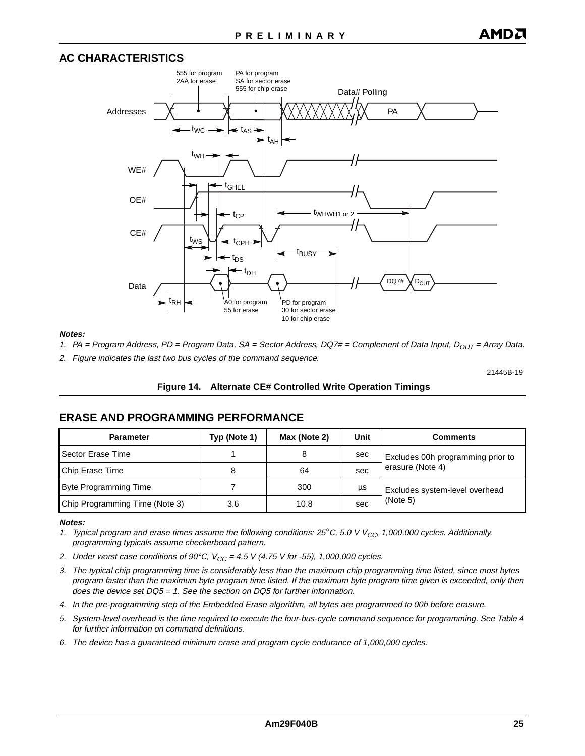<span id="page-24-0"></span>

#### **Notes:**

- 1. PA = Program Address, PD = Program Data, SA = Sector Address, DQ7# = Complement of Data Input,  $D_{OUT}$  = Array Data.
- 2. Figure indicates the last two bus cycles of the command sequence.

21445B-19

#### **Figure 14. Alternate CE# Controlled Write Operation Timings**

#### **ERASE AND PROGRAMMING PERFORMANCE**

| <b>Parameter</b>               | Typ (Note 1) | Max (Note 2) | Unit | <b>Comments</b>                   |
|--------------------------------|--------------|--------------|------|-----------------------------------|
| Sector Erase Time              |              | 8            | sec  | Excludes 00h programming prior to |
| Chip Erase Time                | 8            | 64           | sec  | erasure (Note 4)                  |
| <b>Byte Programming Time</b>   |              | 300          | μs   | Excludes system-level overhead    |
| Chip Programming Time (Note 3) | 3.6          | 10.8         | sec  | (Note 5)                          |

#### **Notes:**

- 1. Typical program and erase times assume the following conditions:  $25^{\circ}$ C, 5.0 V V<sub>CC</sub>, 1,000,000 cycles. Additionally, programming typicals assume checkerboard pattern.
- 2. Under worst case conditions of 90°C,  $V_{CC} = 4.5$  V (4.75 V for -55), 1,000,000 cycles.
- 3. The typical chip programming time is considerably less than the maximum chip programming time listed, since most bytes program faster than the maximum byte program time listed. If the maximum byte program time given is exceeded, only then does the device set DQ5 = 1. See the section on DQ5 for further information.
- 4. In the pre-programming step of the Embedded Erase algorithm, all bytes are programmed to 00h before erasure.
- 5. System-level overhead is the time required to execute the four-bus-cycle command sequence for programming. See [Table 4](#page-11-0) for further information on command definitions.
- 6. The device has a guaranteed minimum erase and program cycle endurance of 1,000,000 cycles.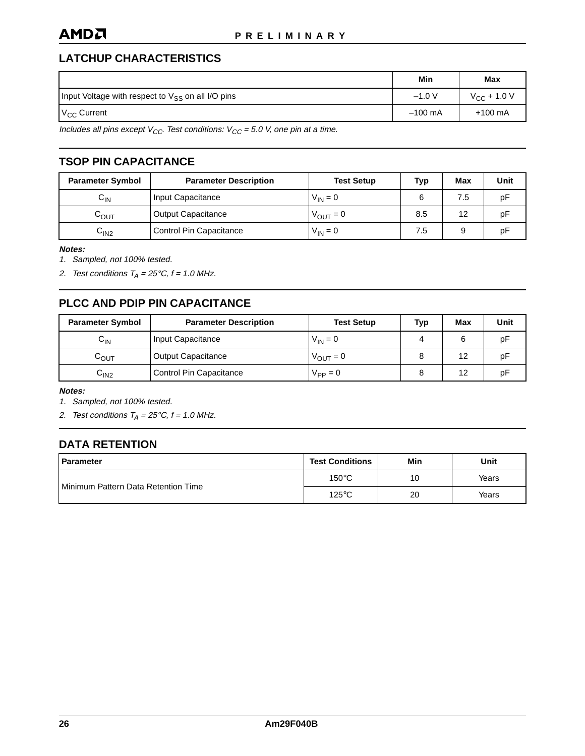### **LATCHUP CHARACTERISTICS**

|                                                               | Min       | Max                     |
|---------------------------------------------------------------|-----------|-------------------------|
| Input Voltage with respect to V <sub>SS</sub> on all I/O pins | $-1.0 V$  | $V_{\text{CC}}$ + 1.0 V |
| V <sub>CC</sub> Current                                       | $-100$ mA | $+100$ mA               |

Includes all pins except  $V_{CC}$ . Test conditions:  $V_{CC}$  = 5.0 V, one pin at a time.

### **TSOP PIN CAPACITANCE**

| <b>Parameter Symbol</b> | <b>Parameter Description</b> | <b>Test Setup</b>    | Typ | Max | Unit |
|-------------------------|------------------------------|----------------------|-----|-----|------|
| $C_{\mathsf{IN}}$       | Input Capacitance            | $V_{IN} = 0$         | 6   | 7.5 | рF   |
| $C_{\text{OUT}}$        | <b>Output Capacitance</b>    | $V_{\text{OUT}} = 0$ | 8.5 | 12  | рF   |
| C <sub>IN2</sub>        | Control Pin Capacitance      | $V_{IN} = 0$         | 7.5 |     | рF   |

**Notes:**

1. Sampled, not 100% tested.

2. Test conditions  $T_A = 25^{\circ}C$ ,  $f = 1.0$  MHz.

### **PLCC AND PDIP PIN CAPACITANCE**

| <b>Parameter Symbol</b> | <b>Parameter Description</b> | <b>Test Setup</b>    | Тур | Max | Unit |
|-------------------------|------------------------------|----------------------|-----|-----|------|
| $C_{\mathsf{IN}}$       | Input Capacitance            | $V_{IN} = 0$         |     |     | рF   |
| $C_{\text{OUT}}$        | <b>Output Capacitance</b>    | $V_{\text{OUT}} = 0$ |     | 12  | рF   |
| ∪ın2                    | Control Pin Capacitance      | $V_{PP} = 0$         |     | 12  | рF   |

**Notes:**

1. Sampled, not 100% tested.

2. Test conditions  $T_A = 25^{\circ}C$ ,  $f = 1.0$  MHz.

### **DATA RETENTION**

| <b>Parameter</b>                             | <b>Test Conditions</b> | Min | Unit  |
|----------------------------------------------|------------------------|-----|-------|
| <b>I</b> Minimum Pattern Data Retention Time | $150^{\circ}$ C        | 10  | Years |
|                                              | $125^{\circ}$ C        | 20  | Years |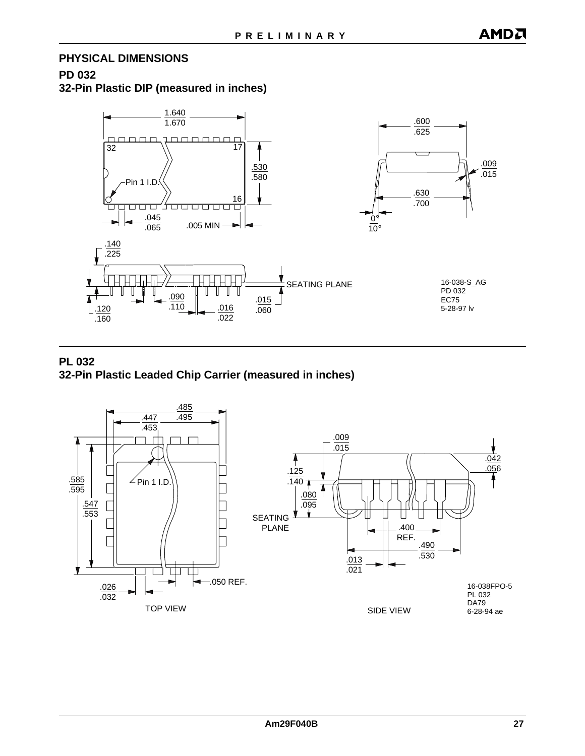# **PHYSICAL DIMENSIONS**

### **PD 032 32-Pin Plastic DIP (measured in inches)**



### **PL 032 32-Pin Plastic Leaded Chip Carrier (measured in inches)**

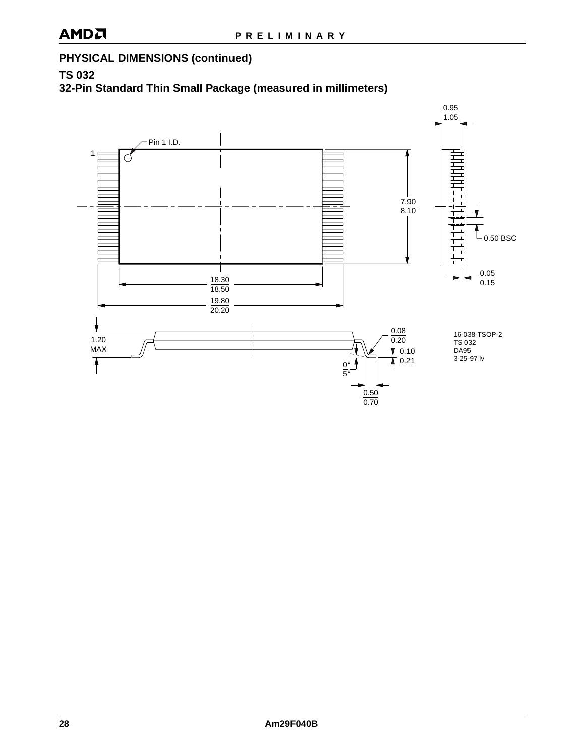### **PHYSICAL DIMENSIONS (continued)**

**TS 032**

**32-Pin Standard Thin Small Package (measured in millimeters)**

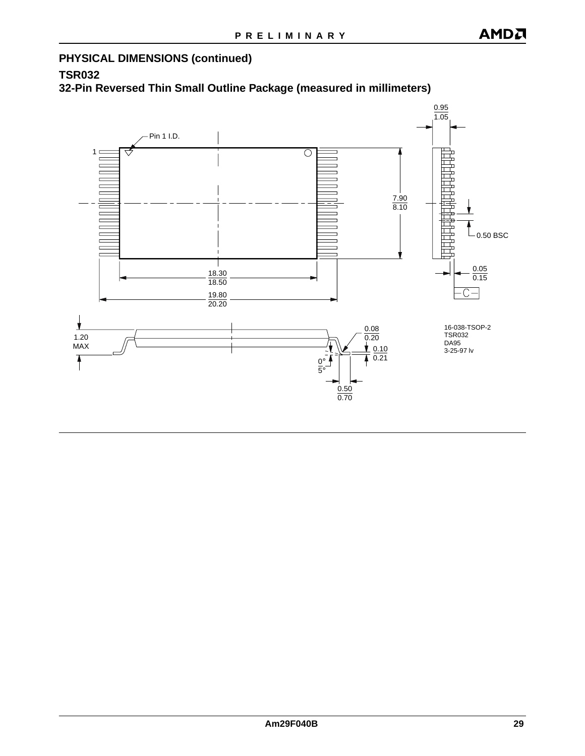### **PHYSICAL DIMENSIONS (continued)**

### **TSR032**

**32-Pin Reversed Thin Small Outline Package (measured in millimeters)**